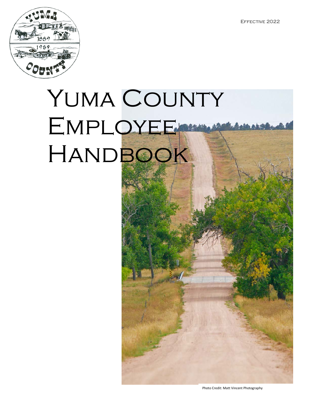

# YUMA COUNTY EMPLOYEE HANDBOOK

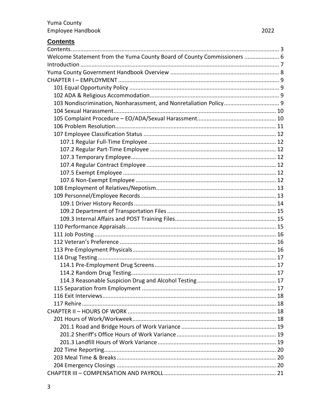# <span id="page-2-0"></span>**Contents**

| Welcome Statement from the Yuma County Board of County Commissioners  6 |  |
|-------------------------------------------------------------------------|--|
|                                                                         |  |
|                                                                         |  |
|                                                                         |  |
|                                                                         |  |
|                                                                         |  |
| 103 Nondiscrimination, Nonharassment, and Nonretaliation Policy 9       |  |
|                                                                         |  |
|                                                                         |  |
|                                                                         |  |
|                                                                         |  |
|                                                                         |  |
|                                                                         |  |
|                                                                         |  |
|                                                                         |  |
|                                                                         |  |
|                                                                         |  |
|                                                                         |  |
|                                                                         |  |
|                                                                         |  |
|                                                                         |  |
|                                                                         |  |
|                                                                         |  |
|                                                                         |  |
|                                                                         |  |
|                                                                         |  |
|                                                                         |  |
|                                                                         |  |
|                                                                         |  |
|                                                                         |  |
|                                                                         |  |
|                                                                         |  |
|                                                                         |  |
|                                                                         |  |
|                                                                         |  |
|                                                                         |  |
|                                                                         |  |
|                                                                         |  |
|                                                                         |  |
|                                                                         |  |
|                                                                         |  |
|                                                                         |  |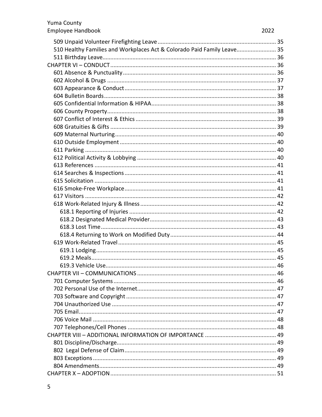| 510 Healthy Families and Workplaces Act & Colorado Paid Family Leave 35 |  |
|-------------------------------------------------------------------------|--|
|                                                                         |  |
|                                                                         |  |
|                                                                         |  |
|                                                                         |  |
|                                                                         |  |
|                                                                         |  |
|                                                                         |  |
|                                                                         |  |
|                                                                         |  |
|                                                                         |  |
|                                                                         |  |
|                                                                         |  |
|                                                                         |  |
|                                                                         |  |
|                                                                         |  |
|                                                                         |  |
|                                                                         |  |
|                                                                         |  |
|                                                                         |  |
|                                                                         |  |
|                                                                         |  |
|                                                                         |  |
|                                                                         |  |
|                                                                         |  |
|                                                                         |  |
|                                                                         |  |
|                                                                         |  |
|                                                                         |  |
|                                                                         |  |
|                                                                         |  |
|                                                                         |  |
|                                                                         |  |
|                                                                         |  |
|                                                                         |  |
|                                                                         |  |
|                                                                         |  |
|                                                                         |  |
|                                                                         |  |
|                                                                         |  |
|                                                                         |  |
|                                                                         |  |
|                                                                         |  |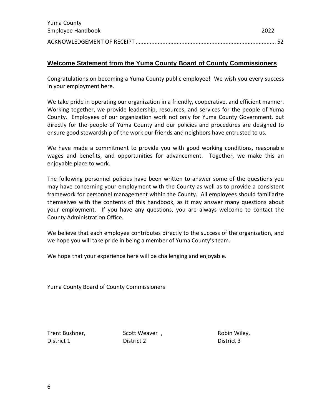| Yuma County       |       |
|-------------------|-------|
| Employee Handbook | -2022 |
|                   |       |

# <span id="page-5-0"></span>**Welcome Statement from the Yuma County Board of County Commissioners**

Congratulations on becoming a Yuma County public employee! We wish you every success in your employment here.

We take pride in operating our organization in a friendly, cooperative, and efficient manner. Working together, we provide leadership, resources, and services for the people of Yuma County. Employees of our organization work not only for Yuma County Government, but directly for the people of Yuma County and our policies and procedures are designed to ensure good stewardship of the work our friends and neighbors have entrusted to us.

We have made a commitment to provide you with good working conditions, reasonable wages and benefits, and opportunities for advancement. Together, we make this an enjoyable place to work.

The following personnel policies have been written to answer some of the questions you may have concerning your employment with the County as well as to provide a consistent framework for personnel management within the County. All employees should familiarize themselves with the contents of this handbook, as it may answer many questions about your employment. If you have any questions, you are always welcome to contact the County Administration Office.

We believe that each employee contributes directly to the success of the organization, and we hope you will take pride in being a member of Yuma County's team.

We hope that your experience here will be challenging and enjoyable.

Yuma County Board of County Commissioners

Trent Bushner, Scott Weaver, Trent Bushner, Robin Wiley, District 1 District 2 District 3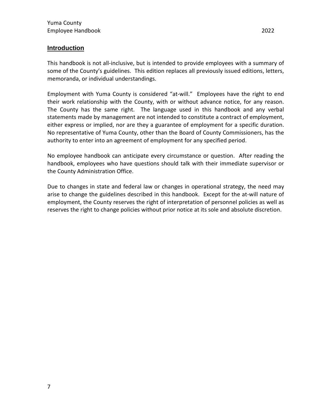#### <span id="page-6-0"></span>**Introduction**

This handbook is not all-inclusive, but is intended to provide employees with a summary of some of the County's guidelines. This edition replaces all previously issued editions, letters, memoranda, or individual understandings.

Employment with Yuma County is considered "at-will." Employees have the right to end their work relationship with the County, with or without advance notice, for any reason. The County has the same right. The language used in this handbook and any verbal statements made by management are not intended to constitute a contract of employment, either express or implied, nor are they a guarantee of employment for a specific duration. No representative of Yuma County, other than the Board of County Commissioners, has the authority to enter into an agreement of employment for any specified period.

No employee handbook can anticipate every circumstance or question. After reading the handbook, employees who have questions should talk with their immediate supervisor or the County Administration Office.

Due to changes in state and federal law or changes in operational strategy, the need may arise to change the guidelines described in this handbook. Except for the at-will nature of employment, the County reserves the right of interpretation of personnel policies as well as reserves the right to change policies without prior notice at its sole and absolute discretion.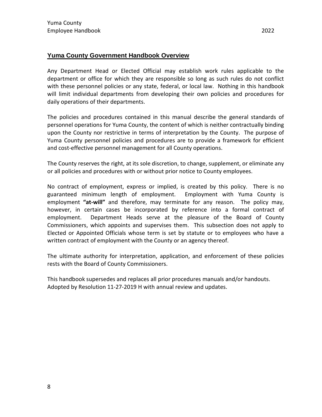#### <span id="page-7-0"></span>**Yuma County Government Handbook Overview**

Any Department Head or Elected Official may establish work rules applicable to the department or office for which they are responsible so long as such rules do not conflict with these personnel policies or any state, federal, or local law. Nothing in this handbook will limit individual departments from developing their own policies and procedures for daily operations of their departments.

The policies and procedures contained in this manual describe the general standards of personnel operations for Yuma County, the content of which is neither contractually binding upon the County nor restrictive in terms of interpretation by the County. The purpose of Yuma County personnel policies and procedures are to provide a framework for efficient and cost-effective personnel management for all County operations.

The County reserves the right, at its sole discretion, to change, supplement, or eliminate any or all policies and procedures with or without prior notice to County employees.

No contract of employment, express or implied, is created by this policy. There is no guaranteed minimum length of employment. Employment with Yuma County is employment **"at-will"** and therefore, may terminate for any reason. The policy may, however, in certain cases be incorporated by reference into a formal contract of employment. Department Heads serve at the pleasure of the Board of County Commissioners, which appoints and supervises them. This subsection does not apply to Elected or Appointed Officials whose term is set by statute or to employees who have a written contract of employment with the County or an agency thereof.

The ultimate authority for interpretation, application, and enforcement of these policies rests with the Board of County Commissioners.

This handbook supersedes and replaces all prior procedures manuals and/or handouts. Adopted by Resolution 11-27-2019 H with annual review and updates.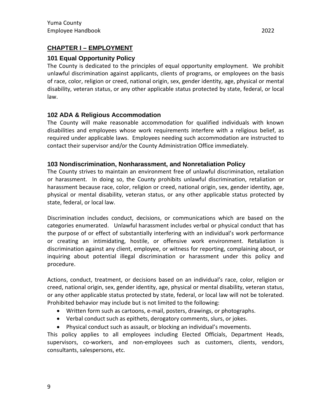# <span id="page-8-0"></span>**CHAPTER I – EMPLOYMENT**

# <span id="page-8-1"></span>**101 Equal Opportunity Policy**

The County is dedicated to the principles of equal opportunity employment. We prohibit unlawful discrimination against applicants, clients of programs, or employees on the basis of race, color, religion or creed, national origin, sex, gender identity, age, physical or mental disability, veteran status, or any other applicable status protected by state, federal, or local law.

# <span id="page-8-2"></span>**102 ADA & Religious Accommodation**

The County will make reasonable accommodation for qualified individuals with known disabilities and employees whose work requirements interfere with a religious belief, as required under applicable laws. Employees needing such accommodation are instructed to contact their supervisor and/or the County Administration Office immediately.

#### <span id="page-8-3"></span>**103 Nondiscrimination, Nonharassment, and Nonretaliation Policy**

The County strives to maintain an environment free of unlawful discrimination, retaliation or harassment. In doing so, the County prohibits unlawful discrimination, retaliation or harassment because race, color, religion or creed, national origin, sex, gender identity, age, physical or mental disability, veteran status, or any other applicable status protected by state, federal, or local law.

Discrimination includes conduct, decisions, or communications which are based on the categories enumerated. Unlawful harassment includes verbal or physical conduct that has the purpose of or effect of substantially interfering with an individual's work performance or creating an intimidating, hostile, or offensive work environment. Retaliation is discrimination against any client, employee, or witness for reporting, complaining about, or inquiring about potential illegal discrimination or harassment under this policy and procedure.

Actions, conduct, treatment, or decisions based on an individual's race, color, religion or creed, national origin, sex, gender identity, age, physical or mental disability, veteran status, or any other applicable status protected by state, federal, or local law will not be tolerated. Prohibited behavior may include but is not limited to the following:

- Written form such as cartoons, e-mail, posters, drawings, or photographs.
- Verbal conduct such as epithets, derogatory comments, slurs, or jokes.
- Physical conduct such as assault, or blocking an individual's movements.

This policy applies to all employees including Elected Officials, Department Heads, supervisors, co-workers, and non-employees such as customers, clients, vendors, consultants, salespersons, etc.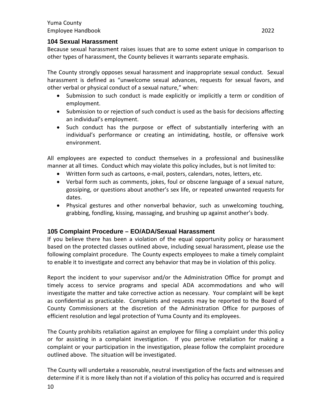#### <span id="page-9-0"></span>**104 Sexual Harassment**

Because sexual harassment raises issues that are to some extent unique in comparison to other types of harassment, the County believes it warrants separate emphasis.

The County strongly opposes sexual harassment and inappropriate sexual conduct. Sexual harassment is defined as "unwelcome sexual advances, requests for sexual favors, and other verbal or physical conduct of a sexual nature," when:

- Submission to such conduct is made explicitly or implicitly a term or condition of employment.
- Submission to or rejection of such conduct is used as the basis for decisions affecting an individual's employment.
- Such conduct has the purpose or effect of substantially interfering with an individual's performance or creating an intimidating, hostile, or offensive work environment.

All employees are expected to conduct themselves in a professional and businesslike manner at all times. Conduct which may violate this policy includes, but is not limited to:

- Written form such as cartoons, e-mail, posters, calendars, notes, letters, etc.
- Verbal form such as comments, jokes, foul or obscene language of a sexual nature, gossiping, or questions about another's sex life, or repeated unwanted requests for dates.
- Physical gestures and other nonverbal behavior, such as unwelcoming touching, grabbing, fondling, kissing, massaging, and brushing up against another's body.

#### <span id="page-9-1"></span>**105 Complaint Procedure – EO/ADA/Sexual Harassment**

If you believe there has been a violation of the equal opportunity policy or harassment based on the protected classes outlined above, including sexual harassment, please use the following complaint procedure. The County expects employees to make a timely complaint to enable it to investigate and correct any behavior that may be in violation of this policy.

Report the incident to your supervisor and/or the Administration Office for prompt and timely access to service programs and special ADA accommodations and who will investigate the matter and take corrective action as necessary. Your complaint will be kept as confidential as practicable. Complaints and requests may be reported to the Board of County Commissioners at the discretion of the Administration Office for purposes of efficient resolution and legal protection of Yuma County and its employees.

The County prohibits retaliation against an employee for filing a complaint under this policy or for assisting in a complaint investigation. If you perceive retaliation for making a complaint or your participation in the investigation, please follow the complaint procedure outlined above. The situation will be investigated.

The County will undertake a reasonable, neutral investigation of the facts and witnesses and determine if it is more likely than not if a violation of this policy has occurred and is required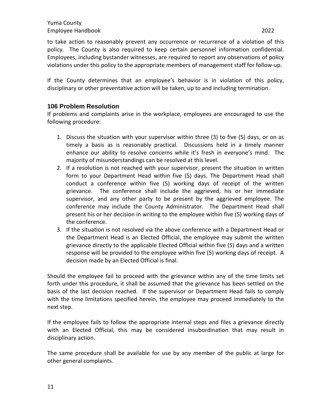to take action to reasonably prevent any occurrence or recurrence of a violation of this policy. The County is also required to keep certain personnel information confidential. Employees, including bystander witnesses, are required to report any observations of policy violations under this policy to the appropriate members of management staff for follow-up.

If the County determines that an employee's behavior is in violation of this policy, disciplinary or other preventative action will be taken, up to and including termination.

# <span id="page-10-0"></span>**106 Problem Resolution**

If problems and complaints arise in the workplace, employees are encouraged to use the following procedure:

- 1. Discuss the situation with your supervisor within three (3) to five (5) days, or on as timely a basis as is reasonably practical. Discussions held in a timely manner enhance our ability to resolve concerns while it's fresh in everyone's mind. The majority of misunderstandings can be resolved at this level.
- 2. If a resolution is not reached with your supervisor, present the situation in written form to your Department Head within five (5) days. The Department Head shall conduct a conference within five (5) working days of receipt of the written grievance. The conference shall include the aggrieved, his or her immediate supervisor, and any other party to be present by the aggrieved employee. The conference may include the County Administrator. The Department Head shall present his or her decision in writing to the employee within five (5) working days of the conference.
- 3. If the situation is not resolved via the above conference with a Department Head or the Department Head is an Elected Official, the employee may submit the written grievance directly to the applicable Elected Official within five (5) days and a written response will be provided to the employee within five (5) working days of receipt. A decision made by an Elected Official is final.

Should the employee fail to proceed with the grievance within any of the time limits set forth under this procedure, it shall be assumed that the grievance has been settled on the basis of the last decision reached. If the supervisor or Department Head fails to comply with the time limitations specified herein, the employee may proceed immediately to the next step.

If the employee fails to follow the appropriate internal steps and files a grievance directly with an Elected Official, this may be considered insubordination that may result in disciplinary action.

The same procedure shall be available for use by any member of the public at large for other general complaints.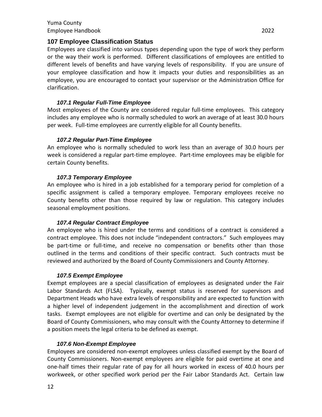## <span id="page-11-0"></span>**107 Employee Classification Status**

Employees are classified into various types depending upon the type of work they perform or the way their work is performed. Different classifications of employees are entitled to different levels of benefits and have varying levels of responsibility. If you are unsure of your employee classification and how it impacts your duties and responsibilities as an employee, you are encouraged to contact your supervisor or the Administration Office for clarification.

#### *107.1 Regular Full-Time Employee*

<span id="page-11-1"></span>Most employees of the County are considered regular full-time employees. This category includes any employee who is normally scheduled to work an average of at least 30.0 hours per week. Full-time employees are currently eligible for all County benefits.

#### *107.2 Regular Part-Time Employee*

<span id="page-11-2"></span>An employee who is normally scheduled to work less than an average of 30.0 hours per week is considered a regular part-time employee. Part-time employees may be eligible for certain County benefits.

#### *107.3 Temporary Employee*

<span id="page-11-3"></span>An employee who is hired in a job established for a temporary period for completion of a specific assignment is called a temporary employee. Temporary employees receive no County benefits other than those required by law or regulation. This category includes seasonal employment positions.

#### *107.4 Regular Contract Employee*

<span id="page-11-4"></span>An employee who is hired under the terms and conditions of a contract is considered a contract employee. This does not include "independent contractors." Such employees may be part-time or full-time, and receive no compensation or benefits other than those outlined in the terms and conditions of their specific contract. Such contracts must be reviewed and authorized by the Board of County Commissioners and County Attorney.

#### *107.5 Exempt Employee*

<span id="page-11-5"></span>Exempt employees are a special classification of employees as designated under the Fair Labor Standards Act (FLSA). Typically, exempt status is reserved for supervisors and Department Heads who have extra levels of responsibility and are expected to function with a higher level of independent judgement in the accomplishment and direction of work tasks. Exempt employees are not eligible for overtime and can only be designated by the Board of County Commissioners, who may consult with the County Attorney to determine if a position meets the legal criteria to be defined as exempt.

#### *107.6 Non-Exempt Employee*

<span id="page-11-6"></span>Employees are considered non-exempt employees unless classified exempt by the Board of County Commissioners. Non-exempt employees are eligible for paid overtime at one and one-half times their regular rate of pay for all hours worked in excess of 40.0 hours per workweek, or other specified work period per the Fair Labor Standards Act. Certain law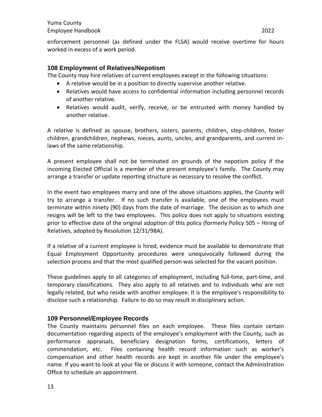enforcement personnel (as defined under the FLSA) would receive overtime for hours worked in excess of a work period.

#### <span id="page-12-0"></span>**108 Employment of Relatives/Nepotism**

The County may hire relatives of current employees except in the following situations:

- A relative would be in a position to directly supervise another relative.
- Relatives would have access to confidential information including personnel records of another relative.
- Relatives would audit, verify, receive, or be entrusted with money handled by another relative.

A relative is defined as spouse, brothers, sisters, parents, children, step-children, foster children, grandchildren, nephews, nieces, aunts, uncles, and grandparents, and current inlaws of the same relationship.

A present employee shall not be terminated on grounds of the nepotism policy if the incoming Elected Official is a member of the present employee's family. The County may arrange a transfer or update reporting structure as necessary to resolve the conflict.

In the event two employees marry and one of the above situations applies, the County will try to arrange a transfer. If no such transfer is available, one of the employees must terminate within ninety (90) days from the date of marriage. The decision as to which one resigns will be left to the two employees. This policy does not apply to situations existing prior to effective date of the original adoption of this policy (formerly Policy 505 – Hiring of Relatives, adopted by Resolution 12/31/98A).

If a relative of a current employee is hired, evidence must be available to demonstrate that Equal Employment Opportunity procedures were unequivocally followed during the selection process and that the most qualified person was selected for the vacant position.

These guidelines apply to all categories of employment, including full-time, part-time, and temporary classifications. They also apply to all relatives and to individuals who are not legally related, but who reside with another employee. It is the employee's responsibility to disclose such a relationship. Failure to do so may result in disciplinary action.

# <span id="page-12-1"></span>**109 Personnel/Employee Records**

The County maintains personnel files on each employee. These files contain certain documentation regarding aspects of the employee's employment with the County, such as performance appraisals, beneficiary designation forms, certifications, letters of commendation, etc. Files containing health record information such as worker's compensation and other health records are kept in another file under the employee's name. If you want to look at your file or discuss it with someone, contact the Administration Office to schedule an appointment.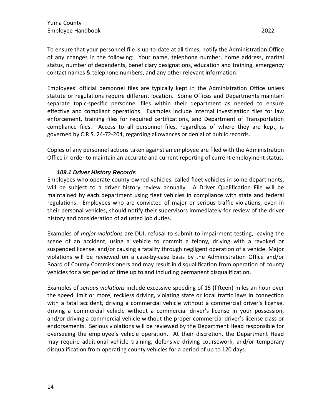To ensure that your personnel file is up-to-date at all times, notify the Administration Office of any changes in the following: Your name, telephone number, home address, marital status, number of dependents, beneficiary designations, education and training, emergency contact names & telephone numbers, and any other relevant information.

Employees' official personnel files are typically kept in the Administration Office unless statute or regulations require different location. Some Offices and Departments maintain separate topic-specific personnel files within their department as needed to ensure effective and compliant operations. Examples include internal investigation files for law enforcement, training files for required certifications, and Department of Transportation compliance files. Access to all personnel files, regardless of where they are kept, is governed by C.R.S. 24-72-204, regarding allowances or denial of public records.

Copies of any personnel actions taken against an employee are filed with the Administration Office in order to maintain an accurate and current reporting of current employment status.

#### *109.1 Driver History Records*

<span id="page-13-0"></span>Employees who operate county-owned vehicles, called fleet vehicles in some departments, will be subject to a driver history review annually. A Driver Qualification File will be maintained by each department using fleet vehicles in compliance with state and federal regulations. Employees who are convicted of major or serious traffic violations, even in their personal vehicles, should notify their supervisors immediately for review of the driver history and consideration of adjusted job duties.

Examples of *major violations* are DUI, refusal to submit to impairment testing, leaving the scene of an accident, using a vehicle to commit a felony, driving with a revoked or suspended license, and/or causing a fatality through negligent operation of a vehicle. Major violations will be reviewed on a case-by-case basis by the Administration Office and/or Board of County Commissioners and may result in disqualification from operation of county vehicles for a set period of time up to and including permanent disqualification.

Examples of *serious violations* include excessive speeding of 15 (fifteen) miles an hour over the speed limit or more, reckless driving, violating state or local traffic laws in connection with a fatal accident, driving a commercial vehicle without a commercial driver's license, driving a commercial vehicle without a commercial driver's license in your possession, and/or driving a commercial vehicle without the proper commercial driver's license class or endorsements. Serious violations will be reviewed by the Department Head responsible for overseeing the employee's vehicle operation. At their discretion, the Department Head may require additional vehicle training, defensive driving coursework, and/or temporary disqualification from operating county vehicles for a period of up to 120 days.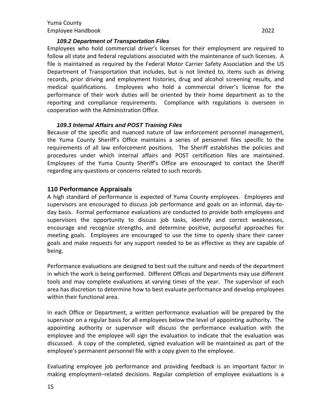#### *109.2 Department of Transportation Files*

<span id="page-14-0"></span>Employees who hold commercial driver's licenses for their employment are required to follow all state and federal regulations associated with the maintenance of such licenses. A file is maintained as required by the Federal Motor Carrier Safety Association and the US Department of Transportation that includes, but is not limited to, items such as driving records, prior driving and employment histories, drug and alcohol screening results, and medical qualifications. Employees who hold a commercial driver's license for the performance of their work duties will be oriented by their home department as to the reporting and compliance requirements. Compliance with regulations is overseen in cooperation with the Administration Office.

#### *109.3 Internal Affairs and POST Training Files*

<span id="page-14-1"></span>Because of the specific and nuanced nature of law enforcement personnel management, the Yuma County Sheriff's Office maintains a series of personnel files specific to the requirements of all law enforcement positions. The Sheriff establishes the policies and procedures under which internal affairs and POST certification files are maintained. Employees of the Yuma County Sheriff's Office are encouraged to contact the Sheriff regarding any questions or concerns related to such records.

#### <span id="page-14-2"></span>**110 Performance Appraisals**

A high standard of performance is expected of Yuma County employees. Employees and supervisors are encouraged to discuss job performance and goals on an informal, day-today basis. Formal performance evaluations are conducted to provide both employees and supervisors the opportunity to discuss job tasks, identify and correct weaknesses, encourage and recognize strengths, and determine positive, purposeful approaches for meeting goals. Employees are encouraged to use the time to openly share their career goals and make requests for any support needed to be as effective as they are capable of being.

Performance evaluations are designed to best suit the culture and needs of the department in which the work is being performed. Different Offices and Departments may use different tools and may complete evaluations at varying times of the year. The supervisor of each area has discretion to determine how to best evaluate performance and develop employees within their functional area.

In each Office or Department, a written performance evaluation will be prepared by the supervisor on a regular basis for all employees below the level of appointing authority. The appointing authority or supervisor will discuss the performance evaluation with the employee and the employee will sign the evaluation to indicate that the evaluation was discussed. A copy of the completed, signed evaluation will be maintained as part of the employee's permanent personnel file with a copy given to the employee.

Evaluating employee job performance and providing feedback is an important factor in making employment–related decisions. Regular completion of employee evaluations is a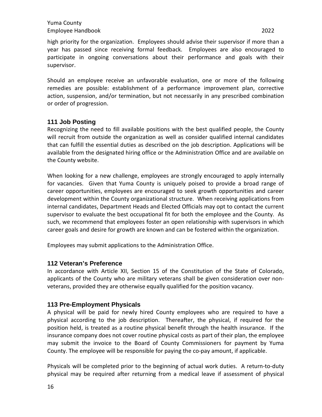high priority for the organization. Employees should advise their supervisor if more than a year has passed since receiving formal feedback. Employees are also encouraged to participate in ongoing conversations about their performance and goals with their supervisor.

Should an employee receive an unfavorable evaluation, one or more of the following remedies are possible: establishment of a performance improvement plan, corrective action, suspension, and/or termination, but not necessarily in any prescribed combination or order of progression.

#### <span id="page-15-0"></span>**111 Job Posting**

Recognizing the need to fill available positions with the best qualified people, the County will recruit from outside the organization as well as consider qualified internal candidates that can fulfill the essential duties as described on the job description. Applications will be available from the designated hiring office or the Administration Office and are available on the County website.

When looking for a new challenge, employees are strongly encouraged to apply internally for vacancies. Given that Yuma County is uniquely poised to provide a broad range of career opportunities, employees are encouraged to seek growth opportunities and career development within the County organizational structure. When receiving applications from internal candidates, Department Heads and Elected Officials may opt to contact the current supervisor to evaluate the best occupational fit for both the employee and the County. As such, we recommend that employees foster an open relationship with supervisors in which career goals and desire for growth are known and can be fostered within the organization.

Employees may submit applications to the Administration Office.

#### <span id="page-15-1"></span>**112 Veteran's Preference**

In accordance with Article XII, Section 15 of the Constitution of the State of Colorado, applicants of the County who are military veterans shall be given consideration over nonveterans, provided they are otherwise equally qualified for the position vacancy.

#### <span id="page-15-2"></span>**113 Pre-Employment Physicals**

A physical will be paid for newly hired County employees who are required to have a physical according to the job description. Thereafter, the physical, if required for the position held, is treated as a routine physical benefit through the health insurance. If the insurance company does not cover routine physical costs as part of their plan, the employee may submit the invoice to the Board of County Commissioners for payment by Yuma County. The employee will be responsible for paying the co-pay amount, if applicable.

Physicals will be completed prior to the beginning of actual work duties. A return-to-duty physical may be required after returning from a medical leave if assessment of physical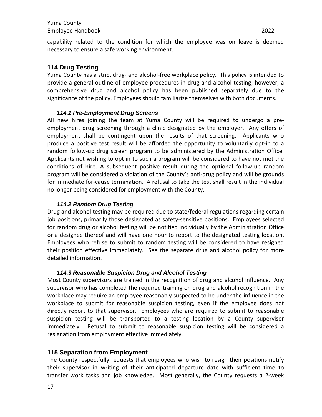# <span id="page-16-0"></span>**114 Drug Testing**

Yuma County has a strict drug- and alcohol-free workplace policy. This policy is intended to provide a general outline of employee procedures in drug and alcohol testing; however, a comprehensive drug and alcohol policy has been published separately due to the significance of the policy. Employees should familiarize themselves with both documents.

#### *114.1 Pre-Employment Drug Screens*

<span id="page-16-1"></span>All new hires joining the team at Yuma County will be required to undergo a preemployment drug screening through a clinic designated by the employer. Any offers of employment shall be contingent upon the results of that screening. Applicants who produce a positive test result will be afforded the opportunity to voluntarily opt-in to a random follow-up drug screen program to be administered by the Administration Office. Applicants not wishing to opt in to such a program will be considered to have not met the conditions of hire. A subsequent positive result during the optional follow-up random program will be considered a violation of the County's anti-drug policy and will be grounds for immediate for-cause termination. A refusal to take the test shall result in the individual no longer being considered for employment with the County.

#### *114.2 Random Drug Testing*

<span id="page-16-2"></span>Drug and alcohol testing may be required due to state/federal regulations regarding certain job positions, primarily those designated as safety-sensitive positions. Employees selected for random drug or alcohol testing will be notified individually by the Administration Office or a designee thereof and will have one hour to report to the designated testing location. Employees who refuse to submit to random testing will be considered to have resigned their position effective immediately. See the separate drug and alcohol policy for more detailed information.

#### *114.3 Reasonable Suspicion Drug and Alcohol Testing*

<span id="page-16-3"></span>Most County supervisors are trained in the recognition of drug and alcohol influence. Any supervisor who has completed the required training on drug and alcohol recognition in the workplace may require an employee reasonably suspected to be under the influence in the workplace to submit for reasonable suspicion testing, even if the employee does not directly report to that supervisor. Employees who are required to submit to reasonable suspicion testing will be transported to a testing location by a County supervisor immediately. Refusal to submit to reasonable suspicion testing will be considered a resignation from employment effective immediately.

#### <span id="page-16-4"></span>**115 Separation from Employment**

The County respectfully requests that employees who wish to resign their positions notify their supervisor in writing of their anticipated departure date with sufficient time to transfer work tasks and job knowledge. Most generally, the County requests a 2-week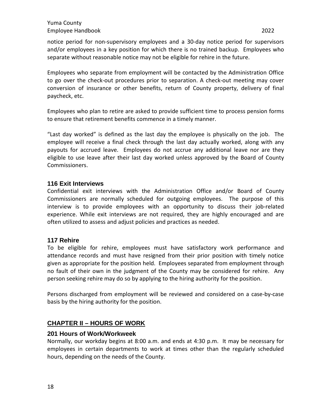notice period for non-supervisory employees and a 30-day notice period for supervisors and/or employees in a key position for which there is no trained backup. Employees who separate without reasonable notice may not be eligible for rehire in the future.

Employees who separate from employment will be contacted by the Administration Office to go over the check-out procedures prior to separation. A check-out meeting may cover conversion of insurance or other benefits, return of County property, delivery of final paycheck, etc.

Employees who plan to retire are asked to provide sufficient time to process pension forms to ensure that retirement benefits commence in a timely manner.

"Last day worked" is defined as the last day the employee is physically on the job. The employee will receive a final check through the last day actually worked, along with any payouts for accrued leave. Employees do not accrue any additional leave nor are they eligible to use leave after their last day worked unless approved by the Board of County Commissioners.

# <span id="page-17-0"></span>**116 Exit Interviews**

Confidential exit interviews with the Administration Office and/or Board of County Commissioners are normally scheduled for outgoing employees. The purpose of this interview is to provide employees with an opportunity to discuss their job-related experience. While exit interviews are not required, they are highly encouraged and are often utilized to assess and adjust policies and practices as needed.

#### <span id="page-17-1"></span>**117 Rehire**

To be eligible for rehire, employees must have satisfactory work performance and attendance records and must have resigned from their prior position with timely notice given as appropriate for the position held. Employees separated from employment through no fault of their own in the judgment of the County may be considered for rehire. Any person seeking rehire may do so by applying to the hiring authority for the position.

Persons discharged from employment will be reviewed and considered on a case-by-case basis by the hiring authority for the position.

# <span id="page-17-2"></span>**CHAPTER II – HOURS OF WORK**

#### <span id="page-17-3"></span>**201 Hours of Work/Workweek**

Normally, our workday begins at 8:00 a.m. and ends at 4:30 p.m. It may be necessary for employees in certain departments to work at times other than the regularly scheduled hours, depending on the needs of the County.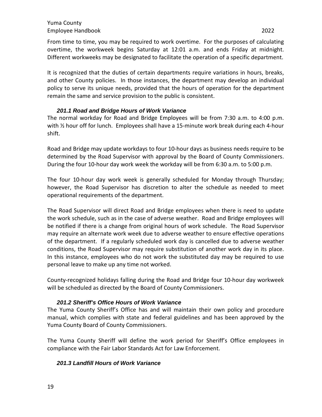From time to time, you may be required to work overtime. For the purposes of calculating overtime, the workweek begins Saturday at 12:01 a.m. and ends Friday at midnight. Different workweeks may be designated to facilitate the operation of a specific department.

It is recognized that the duties of certain departments require variations in hours, breaks, and other County policies. In those instances, the department may develop an individual policy to serve its unique needs, provided that the hours of operation for the department remain the same and service provision to the public is consistent.

#### *201.1 Road and Bridge Hours of Work Variance*

<span id="page-18-0"></span>The normal workday for Road and Bridge Employees will be from 7:30 a.m. to 4:00 p.m. with 1/2 hour off for lunch. Employees shall have a 15-minute work break during each 4-hour shift.

Road and Bridge may update workdays to four 10-hour days as business needs require to be determined by the Road Supervisor with approval by the Board of County Commissioners. During the four 10-hour day work week the workday will be from 6:30 a.m. to 5:00 p.m.

The four 10-hour day work week is generally scheduled for Monday through Thursday; however, the Road Supervisor has discretion to alter the schedule as needed to meet operational requirements of the department.

The Road Supervisor will direct Road and Bridge employees when there is need to update the work schedule, such as in the case of adverse weather. Road and Bridge employees will be notified if there is a change from original hours of work schedule. The Road Supervisor may require an alternate work week due to adverse weather to ensure effective operations of the department. If a regularly scheduled work day is cancelled due to adverse weather conditions, the Road Supervisor may require substitution of another work day in its place. In this instance, employees who do not work the substituted day may be required to use personal leave to make up any time not worked.

County-recognized holidays falling during the Road and Bridge four 10-hour day workweek will be scheduled as directed by the Board of County Commissioners.

#### *201.2 Sheriff's Office Hours of Work Variance*

<span id="page-18-1"></span>The Yuma County Sheriff's Office has and will maintain their own policy and procedure manual, which complies with state and federal guidelines and has been approved by the Yuma County Board of County Commissioners.

The Yuma County Sheriff will define the work period for Sheriff's Office employees in compliance with the Fair Labor Standards Act for Law Enforcement.

#### <span id="page-18-2"></span>*201.3 Landfill Hours of Work Variance*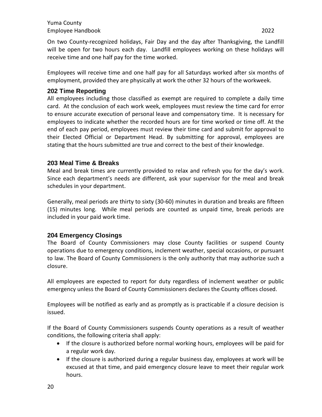On two County-recognized holidays, Fair Day and the day after Thanksgiving, the Landfill will be open for two hours each day. Landfill employees working on these holidays will receive time and one half pay for the time worked.

Employees will receive time and one half pay for all Saturdays worked after six months of employment, provided they are physically at work the other 32 hours of the workweek.

# <span id="page-19-0"></span>**202 Time Reporting**

All employees including those classified as exempt are required to complete a daily time card. At the conclusion of each work week, employees must review the time card for error to ensure accurate execution of personal leave and compensatory time. It is necessary for employees to indicate whether the recorded hours are for time worked or time off. At the end of each pay period, employees must review their time card and submit for approval to their Elected Official or Department Head. By submitting for approval, employees are stating that the hours submitted are true and correct to the best of their knowledge.

# <span id="page-19-1"></span>**203 Meal Time & Breaks**

Meal and break times are currently provided to relax and refresh you for the day's work. Since each department's needs are different, ask your supervisor for the meal and break schedules in your department.

Generally, meal periods are thirty to sixty (30-60) minutes in duration and breaks are fifteen (15) minutes long. While meal periods are counted as unpaid time, break periods are included in your paid work time.

# <span id="page-19-2"></span>**204 Emergency Closings**

The Board of County Commissioners may close County facilities or suspend County operations due to emergency conditions, inclement weather, special occasions, or pursuant to law. The Board of County Commissioners is the only authority that may authorize such a closure.

All employees are expected to report for duty regardless of inclement weather or public emergency unless the Board of County Commissioners declares the County offices closed.

Employees will be notified as early and as promptly as is practicable if a closure decision is issued.

If the Board of County Commissioners suspends County operations as a result of weather conditions, the following criteria shall apply:

- If the closure is authorized before normal working hours, employees will be paid for a regular work day.
- If the closure is authorized during a regular business day, employees at work will be excused at that time, and paid emergency closure leave to meet their regular work hours.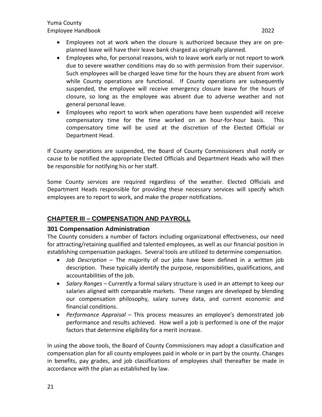- Employees who, for personal reasons, wish to leave work early or not report to work due to severe weather conditions may do so with permission from their supervisor. Such employees will be charged leave time for the hours they are absent from work while County operations are functional. If County operations are subsequently suspended, the employee will receive emergency closure leave for the hours of closure, so long as the employee was absent due to adverse weather and not general personal leave.
- Employees who report to work when operations have been suspended will receive compensatory time for the time worked on an hour-for-hour basis. This compensatory time will be used at the discretion of the Elected Official or Department Head.

If County operations are suspended, the Board of County Commissioners shall notify or cause to be notified the appropriate Elected Officials and Department Heads who will then be responsible for notifying his or her staff.

Some County services are required regardless of the weather. Elected Officials and Department Heads responsible for providing these necessary services will specify which employees are to report to work, and make the proper notifications.

# <span id="page-20-0"></span>**CHAPTER III – COMPENSATION AND PAYROLL**

# <span id="page-20-1"></span>**301 Compensation Administration**

The County considers a number of factors including organizational effectiveness, our need for attracting/retaining qualified and talented employees, as well as our financial position in establishing compensation packages. Several tools are utilized to determine compensation.

- *Job Description*  The majority of our jobs have been defined in a written job description. These typically identify the purpose, responsibilities, qualifications, and accountabilities of the job.
- *Salary Ranges –* Currently a formal salary structure is used in an attempt to keep our salaries aligned with comparable markets. These ranges are developed by blending our compensation philosophy, salary survey data, and current economic and financial conditions.
- *Performance Appraisal*  This process measures an employee's demonstrated job performance and results achieved. How well a job is performed is one of the major factors that determine eligibility for a merit increase.

In using the above tools, the Board of County Commissioners may adopt a classification and compensation plan for all county employees paid in whole or in part by the county. Changes in benefits, pay grades, and job classifications of employees shall thereafter be made in accordance with the plan as established by law.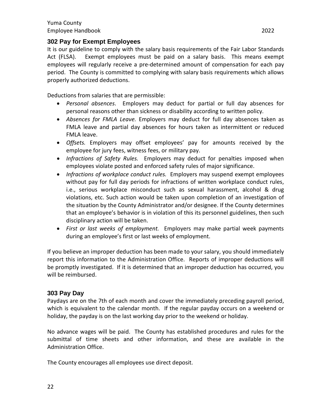## <span id="page-21-0"></span>**302 Pay for Exempt Employees**

It is our guideline to comply with the salary basis requirements of the Fair Labor Standards Act (FLSA). Exempt employees must be paid on a salary basis. This means exempt employees will regularly receive a pre-determined amount of compensation for each pay period. The County is committed to complying with salary basis requirements which allows properly authorized deductions.

Deductions from salaries that are permissible:

- *Personal absences*. Employers may deduct for partial or full day absences for personal reasons other than sickness or disability according to written policy.
- *Absences for FMLA Leave.* Employers may deduct for full day absences taken as FMLA leave and partial day absences for hours taken as intermittent or reduced FMLA leave.
- *Offsets.* Employers may offset employees' pay for amounts received by the employee for jury fees, witness fees, or military pay.
- *Infractions of Safety Rules.* Employers may deduct for penalties imposed when employees violate posted and enforced safety rules of major significance.
- *Infractions of workplace conduct rules.* Employers may suspend exempt employees without pay for full day periods for infractions of written workplace conduct rules, i.e., serious workplace misconduct such as sexual harassment, alcohol & drug violations, etc. Such action would be taken upon completion of an investigation of the situation by the County Administrator and/or designee. If the County determines that an employee's behavior is in violation of this its personnel guidelines, then such disciplinary action will be taken.
- *First or last weeks of employment.* Employers may make partial week payments during an employee's first or last weeks of employment.

If you believe an improper deduction has been made to your salary, you should immediately report this information to the Administration Office. Reports of improper deductions will be promptly investigated. If it is determined that an improper deduction has occurred, you will be reimbursed.

#### <span id="page-21-1"></span>**303 Pay Day**

Paydays are on the 7th of each month and cover the immediately preceding payroll period, which is equivalent to the calendar month. If the regular payday occurs on a weekend or holiday, the payday is on the last working day prior to the weekend or holiday.

No advance wages will be paid. The County has established procedures and rules for the submittal of time sheets and other information, and these are available in the Administration Office.

The County encourages all employees use direct deposit.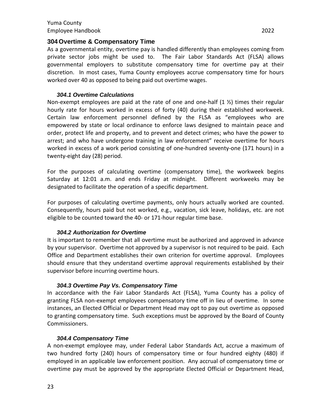#### <span id="page-22-0"></span>**304 Overtime & Compensatory Time**

As a governmental entity, overtime pay is handled differently than employees coming from private sector jobs might be used to. The Fair Labor Standards Act (FLSA) allows governmental employers to substitute compensatory time for overtime pay at their discretion. In most cases, Yuma County employees accrue compensatory time for hours worked over 40 as opposed to being paid out overtime wages.

#### *304.1 Overtime Calculations*

<span id="page-22-1"></span>Non-exempt employees are paid at the rate of one and one-half  $(1 \frac{1}{2})$  times their regular hourly rate for hours worked in excess of forty (40) during their established workweek. Certain law enforcement personnel defined by the FLSA as "employees who are empowered by state or local ordinance to enforce laws designed to maintain peace and order, protect life and property, and to prevent and detect crimes; who have the power to arrest; and who have undergone training in law enforcement" receive overtime for hours worked in excess of a work period consisting of one-hundred seventy-one (171 hours) in a twenty-eight day (28) period.

For the purposes of calculating overtime (compensatory time), the workweek begins Saturday at 12:01 a.m. and ends Friday at midnight. Different workweeks may be designated to facilitate the operation of a specific department.

For purposes of calculating overtime payments, only hours actually worked are counted. Consequently, hours paid but not worked, e.g., vacation, sick leave, holidays, etc. are not eligible to be counted toward the 40- or 171-hour regular time base.

#### *304.2 Authorization for Overtime*

<span id="page-22-2"></span>It is important to remember that all overtime must be authorized and approved in advance by your supervisor. Overtime not approved by a supervisor is not required to be paid. Each Office and Department establishes their own criterion for overtime approval. Employees should ensure that they understand overtime approval requirements established by their supervisor before incurring overtime hours.

#### *304.3 Overtime Pay Vs. Compensatory Time*

<span id="page-22-3"></span>In accordance with the Fair Labor Standards Act (FLSA), Yuma County has a policy of granting FLSA non-exempt employees compensatory time off in lieu of overtime. In some instances, an Elected Official or Department Head may opt to pay out overtime as opposed to granting compensatory time. Such exceptions must be approved by the Board of County Commissioners.

#### *304.4 Compensatory Time*

<span id="page-22-4"></span>A non-exempt employee may, under Federal Labor Standards Act, accrue a maximum of two hundred forty (240) hours of compensatory time or four hundred eighty (480) if employed in an applicable law enforcement position. Any accrual of compensatory time or overtime pay must be approved by the appropriate Elected Official or Department Head,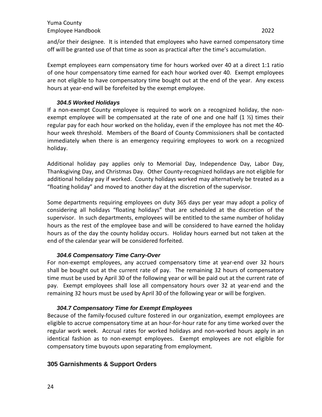Exempt employees earn compensatory time for hours worked over 40 at a direct 1:1 ratio of one hour compensatory time earned for each hour worked over 40. Exempt employees are not eligible to have compensatory time bought out at the end of the year. Any excess hours at year-end will be forefeited by the exempt employee.

#### *304.5 Worked Holidays*

<span id="page-23-0"></span>If a non-exempt County employee is required to work on a recognized holiday, the nonexempt employee will be compensated at the rate of one and one half  $(1 \frac{1}{2})$  times their regular pay for each hour worked on the holiday, even if the employee has not met the 40 hour week threshold. Members of the Board of County Commissioners shall be contacted immediately when there is an emergency requiring employees to work on a recognized holiday.

Additional holiday pay applies only to Memorial Day, Independence Day, Labor Day, Thanksgiving Day, and Christmas Day. Other County-recognized holidays are not eligible for additional holiday pay if worked. County holidays worked may alternatively be treated as a "floating holiday" and moved to another day at the discretion of the supervisor.

Some departments requiring employees on duty 365 days per year may adopt a policy of considering all holidays "floating holidays" that are scheduled at the discretion of the supervisor. In such departments, employees will be entitled to the same number of holiday hours as the rest of the employee base and will be considered to have earned the holiday hours as of the day the county holiday occurs. Holiday hours earned but not taken at the end of the calendar year will be considered forfeited.

#### *304.6 Compensatory Time Carry-Over*

<span id="page-23-1"></span>For non-exempt employees, any accrued compensatory time at year-end over 32 hours shall be bought out at the current rate of pay. The remaining 32 hours of compensatory time must be used by April 30 of the following year or will be paid out at the current rate of pay. Exempt employees shall lose all compensatory hours over 32 at year-end and the remaining 32 hours must be used by April 30 of the following year or will be forgiven.

#### *304.7 Compensatory Time for Exempt Employees*

<span id="page-23-2"></span>Because of the family-focused culture fostered in our organization, exempt employees are eligible to accrue compensatory time at an hour-for-hour rate for any time worked over the regular work week. Accrual rates for worked holidays and non-worked hours apply in an identical fashion as to non-exempt employees. Exempt employees are not eligible for compensatory time buyouts upon separating from employment.

# <span id="page-23-3"></span>**305 Garnishments & Support Orders**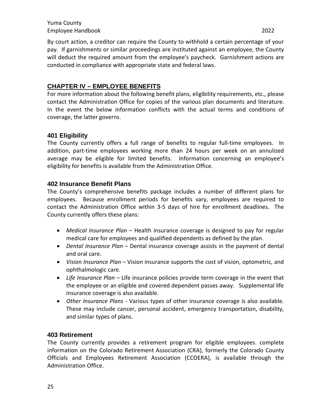By court action, a creditor can require the County to withhold a certain percentage of your pay. If garnishments or similar proceedings are instituted against an employee, the County will deduct the required amount from the employee's paycheck. Garnishment actions are conducted in compliance with appropriate state and federal laws.

# <span id="page-24-0"></span>**CHAPTER IV – EMPLOYEE BENEFITS**

For more information about the following benefit plans, eligibility requirements, etc., please contact the Administration Office for copies of the various plan documents and literature. In the event the below information conflicts with the actual terms and conditions of coverage, the latter governs.

# <span id="page-24-1"></span>**401 Eligibility**

The County currently offers a full range of benefits to regular full-time employees. In addition, part-time employees working more than 24 hours per week on an annulized average may be eligible for limited benefits. Information concerning an employee's eligibility for benefits is available from the Administration Office.

# <span id="page-24-2"></span>**402 Insurance Benefit Plans**

The County's comprehensive benefits package includes a number of different plans for employees. Because enrollment periods for benefits vary, employees are required to contact the Administration Office within 3-5 days of hire for enrollment deadlines. The County currently offers these plans:

- *Medical Insurance Plan* Health insurance coverage is designed to pay for regular medical care for employees and qualified dependents as defined by the plan.
- *Dental Insurance Plan –* Dental insurance coverage assists in the payment of dental and oral care.
- *Vision Insurance Plan –* Vision insurance supports the cost of vision, optometric, and ophthalmologic care.
- *Life Insurance Plan* Life insurance policies provide term coverage in the event that the employee or an eligible and covered dependent passes away. Supplemental life insurance coverage is also available.
- *Other Insurance Plans*  Various types of other insurance coverage is also available. These may include cancer, personal accident, emergency transportation, disability, and similar types of plans.

#### <span id="page-24-3"></span>**403 Retirement**

The County currently provides a retirement program for eligible employees. complete information on the Colorado Retirement Association (CRA), formerly the Colorado County Officials and Employees Retirement Association (CCOERA), is available through the Administration Office.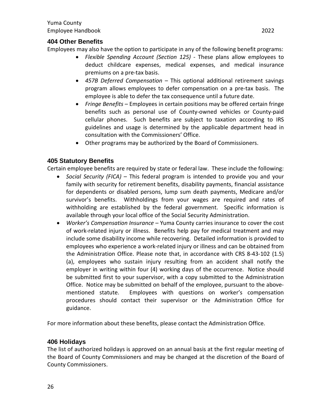# <span id="page-25-0"></span>**404 Other Benefits**

Employees may also have the option to participate in any of the following benefit programs:

- *Flexible Spending Account (Section 125)* These plans allow employees to deduct childcare expenses, medical expenses, and medical insurance premiums on a pre-tax basis.
- *457B Deferred Compensation* This optional additional retirement savings program allows employees to defer compensation on a pre-tax basis. The employee is able to defer the tax consequence until a future date.
- *Fringe Benefits*  Employees in certain positions may be offered certain fringe benefits such as personal use of County-owned vehicles or County-paid cellular phones. Such benefits are subject to taxation according to IRS guidelines and usage is determined by the applicable department head in consultation with the Commissioners' Office.
- Other programs may be authorized by the Board of Commissioners.

# <span id="page-25-1"></span>**405 Statutory Benefits**

Certain employee benefits are required by state or federal law. These include the following:

- *Social Security (FICA) –* This federal program is intended to provide you and your family with security for retirement benefits, disability payments, financial assistance for dependents or disabled persons, lump sum death payments, Medicare and/or survivor's benefits. Withholdings from your wages are required and rates of withholding are established by the federal government. Specific information is available through your local office of the Social Security Administration.
- *Worker's Compensation Insurance –* Yuma County carries insurance to cover the cost of work-related injury or illness. Benefits help pay for medical treatment and may include some disability income while recovering. Detailed information is provided to employees who experience a work-related injury or illness and can be obtained from the Administration Office. Please note that, in accordance with CRS 8-43-102 (1.5) (a), employees who sustain injury resulting from an accident shall notify the employer in writing within four (4) working days of the occurrence. Notice should be submitted first to your supervisor, with a copy submitted to the Administration Office. Notice may be submitted on behalf of the employee, pursuant to the abovementioned statute. Employees with questions on worker's compensation procedures should contact their supervisor or the Administration Office for guidance.

For more information about these benefits, please contact the Administration Office.

#### <span id="page-25-2"></span>**406 Holidays**

The list of authorized holidays is approved on an annual basis at the first regular meeting of the Board of County Commissioners and may be changed at the discretion of the Board of County Commissioners.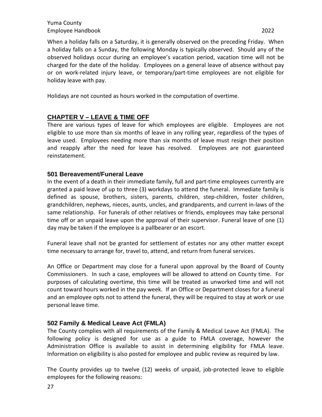When a holiday falls on a Saturday, it is generally observed on the preceding Friday. When a holiday falls on a Sunday, the following Monday is typically observed. Should any of the observed holidays occur during an employee's vacation period, vacation time will not be charged for the date of the holiday. Employees on a general leave of absence without pay or on work-related injury leave, or temporary/part-time employees are not eligible for holiday leave with pay.

Holidays are not counted as hours worked in the computation of overtime.

# <span id="page-26-0"></span>**CHAPTER V – LEAVE & TIME OFF**

There are various types of leave for which employees are eligible. Employees are not eligible to use more than six months of leave in any rolling year, regardless of the types of leave used. Employees needing more than six months of leave must resign their position and reapply after the need for leave has resolved. Employees are not guaranteed reinstatement.

#### <span id="page-26-1"></span>**501 Bereavement/Funeral Leave**

In the event of a death in their immediate family, full and part-time employees currently are granted a paid leave of up to three (3) workdays to attend the funeral. Immediate family is defined as spouse, brothers, sisters, parents, children, step-children, foster children, grandchildren, nephews, nieces, aunts, uncles, and grandparents, and current in-laws of the same relationship. For funerals of other relatives or friends, employees may take personal time off or an unpaid leave upon the approval of their supervisor. Funeral leave of one (1) day may be taken if the employee is a pallbearer or an escort.

Funeral leave shall not be granted for settlement of estates nor any other matter except time necessary to arrange for, travel to, attend, and return from funeral services.

An Office or Department may close for a funeral upon approval by the Board of County Commissioners. In such a case, employees will be allowed to attend on County time. For purposes of calculating overtime, this time will be treated as unworked time and will not count toward hours worked in the pay week. If an Office or Department closes for a funeral and an employee opts not to attend the funeral, they will be required to stay at work or use personal leave time.

#### <span id="page-26-2"></span>**502 Family & Medical Leave Act (FMLA)**

The County complies with all requirements of the Family & Medical Leave Act (FMLA). The following policy is designed for use as a guide to FMLA coverage, however the Administration Office is available to assist in determining eligibility for FMLA leave. Information on eligibility is also posted for employee and public review as required by law.

The County provides up to twelve (12) weeks of unpaid, job-protected leave to eligible employees for the following reasons: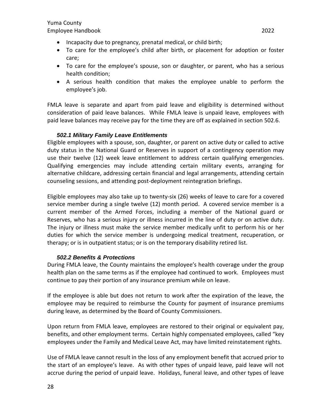- Incapacity due to pregnancy, prenatal medical, or child birth;
- To care for the employee's child after birth, or placement for adoption or foster care;
- To care for the employee's spouse, son or daughter, or parent, who has a serious health condition;
- A serious health condition that makes the employee unable to perform the employee's job.

FMLA leave is separate and apart from paid leave and eligibility is determined without consideration of paid leave balances. While FMLA leave is unpaid leave, employees with paid leave balances may receive pay for the time they are off as explained in section 502.6.

#### *502.1 Military Family Leave Entitlements*

<span id="page-27-0"></span>Eligible employees with a spouse, son, daughter, or parent on active duty or called to active duty status in the National Guard or Reserves in support of a contingency operation may use their twelve (12) week leave entitlement to address certain qualifying emergencies. Qualifying emergencies may include attending certain military events, arranging for alternative childcare, addressing certain financial and legal arrangements, attending certain counseling sessions, and attending post-deployment reintegration briefings.

Eligible employees may also take up to twenty-six (26) weeks of leave to care for a covered service member during a single twelve (12) month period. A covered service member is a current member of the Armed Forces, including a member of the National guard or Reserves, who has a serious injury or illness incurred in the line of duty or on active duty. The injury or illness must make the service member medically unfit to perform his or her duties for which the service member is undergoing medical treatment, recuperation, or therapy; or is in outpatient status; or is on the temporary disability retired list.

#### *502.2 Benefits & Protections*

<span id="page-27-1"></span>During FMLA leave, the County maintains the employee's health coverage under the group health plan on the same terms as if the employee had continued to work. Employees must continue to pay their portion of any insurance premium while on leave.

If the employee is able but does not return to work after the expiration of the leave, the employee may be required to reimburse the County for payment of insurance premiums during leave, as determined by the Board of County Commissioners.

Upon return from FMLA leave, employees are restored to their original or equivalent pay, benefits, and other employment terms. Certain highly compensated employees, called "key employees under the Family and Medical Leave Act, may have limited reinstatement rights.

Use of FMLA leave cannot result in the loss of any employment benefit that accrued prior to the start of an employee's leave. As with other types of unpaid leave, paid leave will not accrue during the period of unpaid leave. Holidays, funeral leave, and other types of leave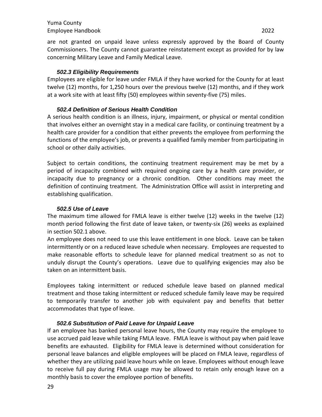#### *502.3 Eligibility Requirements*

<span id="page-28-0"></span>Employees are eligible for leave under FMLA if they have worked for the County for at least twelve (12) months, for 1,250 hours over the previous twelve (12) months, and if they work at a work site with at least fifty (50) employees within seventy-five (75) miles.

#### *502.4 Definition of Serious Health Condition*

<span id="page-28-1"></span>A serious health condition is an illness, injury, impairment, or physical or mental condition that involves either an overnight stay in a medical care facility, or continuing treatment by a health care provider for a condition that either prevents the employee from performing the functions of the employee's job, or prevents a qualified family member from participating in school or other daily activities.

Subject to certain conditions, the continuing treatment requirement may be met by a period of incapacity combined with required ongoing care by a health care provider, or incapacity due to pregnancy or a chronic condition. Other conditions may meet the definition of continuing treatment. The Administration Office will assist in interpreting and establishing qualification.

#### *502.5 Use of Leave*

<span id="page-28-2"></span>The maximum time allowed for FMLA leave is either twelve (12) weeks in the twelve (12) month period following the first date of leave taken, or twenty-six (26) weeks as explained in section 502.1 above.

An employee does not need to use this leave entitlement in one block. Leave can be taken intermittently or on a reduced leave schedule when necessary. Employees are requested to make reasonable efforts to schedule leave for planned medical treatment so as not to unduly disrupt the County's operations. Leave due to qualifying exigencies may also be taken on an intermittent basis.

Employees taking intermittent or reduced schedule leave based on planned medical treatment and those taking intermittent or reduced schedule family leave may be required to temporarily transfer to another job with equivalent pay and benefits that better accommodates that type of leave.

#### *502.6 Substitution of Paid Leave for Unpaid Leave*

<span id="page-28-3"></span>If an employee has banked personal leave hours, the County may require the employee to use accrued paid leave while taking FMLA leave. FMLA leave is without pay when paid leave benefits are exhausted. Eligibility for FMLA leave is determined without consideration for personal leave balances and eligible employees will be placed on FMLA leave, regardless of whether they are utilizing paid leave hours while on leave. Employees without enough leave to receive full pay during FMLA usage may be allowed to retain only enough leave on a monthly basis to cover the employee portion of benefits.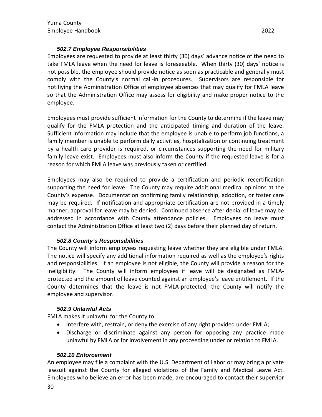#### *502.7 Employee Responsibilities*

<span id="page-29-0"></span>Employees are requested to provide at least thirty (30) days' advance notice of the need to take FMLA leave when the need for leave is foreseeable. When thirty (30) days' notice is not possible, the employee should provide notice as soon as practicable and generally must comply with the County's normal call-in procedures. Supervisors are responsible for notifiying the Administration Office of employee absences that may qualify for FMLA leave so that the Administration Office may assess for eligibility and make proper notice to the employee.

Employees must provide sufficient information for the County to determine if the leave may qualify for the FMLA protection and the anticipated timing and duration of the leave. Sufficient information may include that the employee is unable to perform job functions, a family member is unable to perform daily activities, hospitalization or continuing treatment by a health care provider is required, or circumstances supporting the need for military family leave exist. Employees must also inform the County if the requested leave is for a reason for which FMLA leave was previously taken or certified.

Employees may also be required to provide a certification and periodic recertification supporting the need for leave. The County may require additional medical opinions at the County's expense. Documentation confirming family relationship, adoption, or foster care may be required. If notification and appropriate certification are not provided in a timely manner, approval for leave may be denied. Continued absence after denial of leave may be addressed in accordance with County attendance policies. Employees on leave must contact the Administration Office at least two (2) days before their planned day of return.

#### *502.8 County's Responsibilities*

<span id="page-29-1"></span>The County will inform employees requesting leave whether they are eligible under FMLA. The notice will specify any additional information required as well as the employee's rights and responsibilities. If an employee is not eligible, the County will provide a reason for the ineligibility. The County will inform employees if leave will be designated as FMLAprotected and the amount of leave counted against an employee's leave entitlement. If the County determines that the leave is not FMLA-protected, the County will notify the employee and supervisor.

#### *502.9 Unlawful Acts*

<span id="page-29-2"></span>FMLA makes it unlawful for the County to:

- Interfere with, restrain, or deny the exercise of any right provided under FMLA;
- Discharge or discriminate against any person for opposing any practice made unlawful by FMLA or for involvement in any proceeding under or relation to FMLA.

#### *502.10 Enforcement*

<span id="page-29-3"></span>An employee may file a complaint with the U.S. Department of Labor or may bring a private lawsuit against the County for alleged violations of the Family and Medical Leave Act. Employees who believe an error has been made, are encouraged to contact their supervior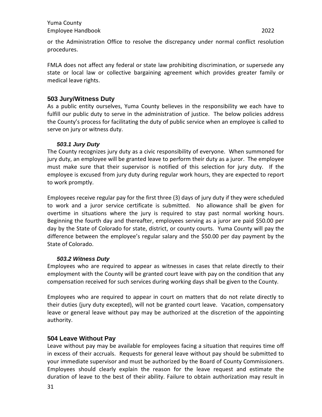or the Administration Office to resolve the discrepancy under normal conflict resolution procedures.

FMLA does not affect any federal or state law prohibiting discrimination, or supersede any state or local law or collective bargaining agreement which provides greater family or medical leave rights.

#### <span id="page-30-0"></span>**503 Jury/Witness Duty**

As a public entity ourselves, Yuma County believes in the responsibility we each have to fulfill our public duty to serve in the administration of justice. The below policies address the County's process for facilitating the duty of public service when an employee is called to serve on jury or witness duty.

#### *503.1 Jury Duty*

<span id="page-30-1"></span>The County recognizes jury duty as a civic responsibility of everyone. When summoned for jury duty, an employee will be granted leave to perform their duty as a juror. The employee must make sure that their supervisor is notified of this selection for jury duty. If the employee is excused from jury duty during regular work hours, they are expected to report to work promptly.

Employees receive regular pay for the first three (3) days of jury duty if they were scheduled to work and a juror service certificate is submitted. No allowance shall be given for overtime in situations where the jury is required to stay past normal working hours. Beginning the fourth day and thereafter, employees serving as a juror are paid \$50.00 per day by the State of Colorado for state, district, or county courts. Yuma County will pay the difference between the employee's regular salary and the \$50.00 per day payment by the State of Colorado.

#### *503.2 Witness Duty*

<span id="page-30-2"></span>Employees who are required to appear as witnesses in cases that relate directly to their employment with the County will be granted court leave with pay on the condition that any compensation received for such services during working days shall be given to the County.

Employees who are required to appear in court on matters that do not relate directly to their duties (jury duty excepted), will not be granted court leave. Vacation, compensatory leave or general leave without pay may be authorized at the discretion of the appointing authority.

#### <span id="page-30-3"></span>**504 Leave Without Pay**

Leave without pay may be available for employees facing a situation that requires time off in excess of their accruals. Requests for general leave without pay should be submitted to your immediate supervisor and must be authorized by the Board of County Commissioners. Employees should clearly explain the reason for the leave request and estimate the duration of leave to the best of their ability. Failure to obtain authorization may result in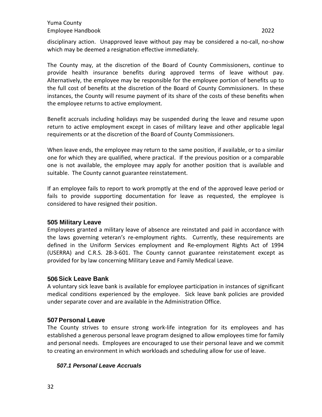disciplinary action. Unapproved leave without pay may be considered a no-call, no-show which may be deemed a resignation effective immediately.

The County may, at the discretion of the Board of County Commissioners, continue to provide health insurance benefits during approved terms of leave without pay. Alternatively, the employee may be responsible for the employee portion of benefits up to the full cost of benefits at the discretion of the Board of County Commissioners. In these instances, the County will resume payment of its share of the costs of these benefits when the employee returns to active employment.

Benefit accruals including holidays may be suspended during the leave and resume upon return to active employment except in cases of military leave and other applicable legal requirements or at the discretion of the Board of County Commissioners.

When leave ends, the employee may return to the same position, if available, or to a similar one for which they are qualified, where practical. If the previous position or a comparable one is not available, the employee may apply for another position that is available and suitable. The County cannot guarantee reinstatement.

If an employee fails to report to work promptly at the end of the approved leave period or fails to provide supporting documentation for leave as requested, the employee is considered to have resigned their position.

#### <span id="page-31-0"></span>**505 Military Leave**

Employees granted a military leave of absence are reinstated and paid in accordance with the laws governing veteran's re-employment rights. Currently, these requirements are defined in the Uniform Services employment and Re-employment Rights Act of 1994 (USERRA) and C.R.S. 28-3-601. The County cannot guarantee reinstatement except as provided for by law concerning Military Leave and Family Medical Leave.

#### <span id="page-31-1"></span>**506Sick Leave Bank**

A voluntary sick leave bank is available for employee participation in instances of significant medical conditions experienced by the employee. Sick leave bank policies are provided under separate cover and are available in the Administration Office.

#### <span id="page-31-2"></span>**507 Personal Leave**

The County strives to ensure strong work-life integration for its employees and has established a generous personal leave program designed to allow employees time for family and personal needs. Employees are encouraged to use their personal leave and we commit to creating an environment in which workloads and scheduling allow for use of leave.

#### <span id="page-31-3"></span>*507.1 Personal Leave Accruals*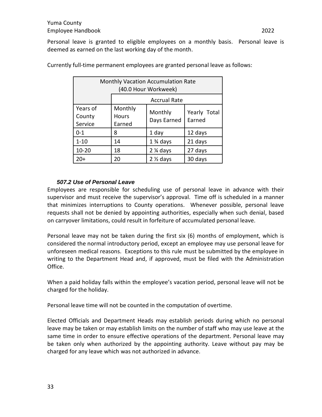Personal leave is granted to eligible employees on a monthly basis. Personal leave is deemed as earned on the last working day of the month.

| <b>Monthly Vacation Accumulation Rate</b><br>(40.0 Hour Workweek) |                                   |                        |                        |
|-------------------------------------------------------------------|-----------------------------------|------------------------|------------------------|
| <b>Accrual Rate</b>                                               |                                   |                        |                        |
| Years of<br>County<br>Service                                     | Monthly<br><b>Hours</b><br>Earned | Monthly<br>Days Earned | Yearly Total<br>Earned |
| $0 - 1$                                                           | 8                                 | 1 day                  | 12 days                |
| $1 - 10$                                                          | 14                                | $1\%$ days             | 21 days                |
| $10 - 20$                                                         | 18                                | $2\%$ days             | 27 days                |
| $20+$                                                             | 20                                | $2 \frac{1}{2}$ days   | 30 days                |

Currently full-time permanent employees are granted personal leave as follows:

#### *507.2 Use of Personal Leave*

<span id="page-32-0"></span>Employees are responsible for scheduling use of personal leave in advance with their supervisor and must receive the supervisor's approval. Time off is scheduled in a manner that minimizes interruptions to County operations. Whenever possible, personal leave requests shall not be denied by appointing authorities, especially when such denial, based on carryover limitations, could result in forfeiture of accumulated personal leave.

Personal leave may not be taken during the first six (6) months of employment, which is considered the normal introductory period, except an employee may use personal leave for unforeseen medical reasons. Exceptions to this rule must be submitted by the employee in writing to the Department Head and, if approved, must be filed with the Administration Office.

When a paid holiday falls within the employee's vacation period, personal leave will not be charged for the holiday.

Personal leave time will not be counted in the computation of overtime.

Elected Officials and Department Heads may establish periods during which no personal leave may be taken or may establish limits on the number of staff who may use leave at the same time in order to ensure effective operations of the department. Personal leave may be taken only when authorized by the appointing authority. Leave without pay may be charged for any leave which was not authorized in advance.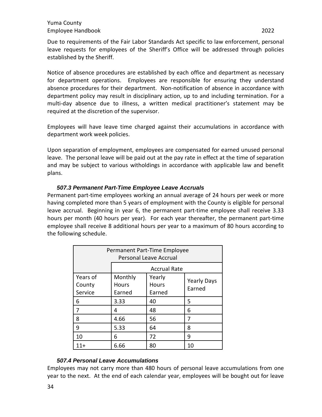Due to requirements of the Fair Labor Standards Act specific to law enforcement, personal leave requests for employees of the Sheriff's Office will be addressed through policies established by the Sheriff.

Notice of absence procedures are established by each office and department as necessary for department operations. Employees are responsible for ensuring they understand absence procedures for their department. Non-notification of absence in accordance with department policy may result in disciplinary action, up to and including termination. For a multi-day absence due to illness, a written medical practitioner's statement may be required at the discretion of the supervisor.

Employees will have leave time charged against their accumulations in accordance with department work week policies.

Upon separation of employment, employees are compensated for earned unused personal leave. The personal leave will be paid out at the pay rate in effect at the time of separation and may be subject to various witholdings in accordance with applicable law and benefit plans.

#### *507.3 Permanent Part-Time Employee Leave Accruals*

<span id="page-33-0"></span>Permanent part-time employees working an annual average of 24 hours per week or more having completed more than 5 years of employment with the County is eligible for personal leave accrual. Beginning in year 6, the permanent part-time employee shall receive 3.33 hours per month (40 hours per year). For each year thereafter, the permanent part-time employee shall receive 8 additional hours per year to a maximum of 80 hours according to the following schedule.

| Permanent Part-Time Employee<br><b>Personal Leave Accrual</b> |                                   |                                  |                              |  |
|---------------------------------------------------------------|-----------------------------------|----------------------------------|------------------------------|--|
|                                                               | <b>Accrual Rate</b>               |                                  |                              |  |
| Years of<br>County<br>Service                                 | Monthly<br><b>Hours</b><br>Earned | Yearly<br><b>Hours</b><br>Earned | <b>Yearly Days</b><br>Earned |  |
| 6                                                             | 3.33                              | 40                               | 5                            |  |
| 7                                                             | 4                                 | 48                               | 6                            |  |
| 8                                                             | 4.66                              | 56                               | 7                            |  |
| 9                                                             | 5.33                              | 64                               | 8                            |  |
| 10                                                            | 6                                 | 72                               | 9                            |  |
| 11+                                                           | 6.66                              | 80                               | 10                           |  |

#### *507.4 Personal Leave Accumulations*

<span id="page-33-1"></span>Employees may not carry more than 480 hours of personal leave accumulations from one year to the next. At the end of each calendar year, employees will be bought out for leave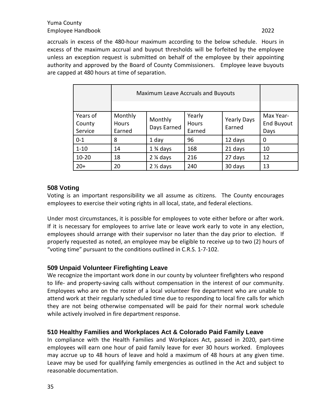accruals in excess of the 480-hour maximum according to the below schedule. Hours in excess of the maximum accrual and buyout thresholds will be forfeited by the employee unless an exception request is submitted on behalf of the employee by their appointing authority and approved by the Board of County Commissioners. Employee leave buyouts are capped at 480 hours at time of separation.

| Maximum Leave Accruals and Buyouts |                            |                        |                                  |                              |                                        |
|------------------------------------|----------------------------|------------------------|----------------------------------|------------------------------|----------------------------------------|
|                                    |                            |                        |                                  |                              |                                        |
| Years of<br>County<br>Service      | Monthly<br>Hours<br>Earned | Monthly<br>Days Earned | Yearly<br><b>Hours</b><br>Earned | <b>Yearly Days</b><br>Earned | Max Year-<br><b>End Buyout</b><br>Days |
| $0 - 1$                            | 8                          | 1 day                  | 96                               | 12 days                      | 0                                      |
| $1 - 10$                           | 14                         | $1\%$ days             | 168                              | 21 days                      | 10                                     |
| $10 - 20$                          | 18                         | $2\frac{1}{4}$ days    | 216                              | 27 days                      | 12                                     |
| $20+$                              | 20                         | $2 \frac{1}{2}$ days   | 240                              | 30 days                      | 13                                     |

# <span id="page-34-0"></span>**508 Voting**

Voting is an important responsibility we all assume as citizens. The County encourages employees to exercise their voting rights in all local, state, and federal elections.

Under most circumstances, it is possible for employees to vote either before or after work. If it is necessary for employees to arrive late or leave work early to vote in any election, employees should arrange with their supervisor no later than the day prior to election. If properly requested as noted, an employee may be eligible to receive up to two (2) hours of "voting time" pursuant to the conditions outlined in C.R.S. 1-7-102.

#### <span id="page-34-1"></span>**509 Unpaid Volunteer Firefighting Leave**

We recognize the important work done in our county by volunteer firefighters who respond to life- and property-saving calls without compensation in the interest of our community. Employees who are on the roster of a local volunteer fire department who are unable to attend work at their regularly scheduled time due to responding to local fire calls for which they are not being otherwise compensated will be paid for their normal work schedule while actively involved in fire department response.

# <span id="page-34-2"></span>**510 Healthy Families and Workplaces Act & Colorado Paid Family Leave**

In compliance with the Health Families and Workplaces Act, passed in 2020, part-time employees will earn one hour of paid family leave for ever 30 hours worked. Employees may accrue up to 48 hours of leave and hold a maximum of 48 hours at any given time. Leave may be used for qualifying family emergencies as outlined in the Act and subject to reasonable documentation.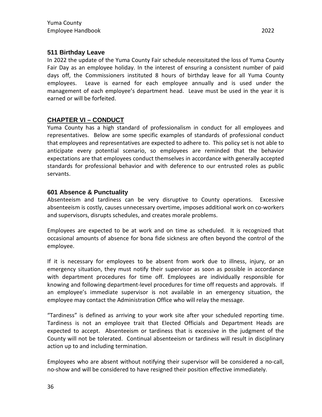## <span id="page-35-0"></span>**511 Birthday Leave**

In 2022 the update of the Yuma County Fair schedule necessitated the loss of Yuma County Fair Day as an employee holiday. In the interest of ensuring a consistent number of paid days off, the Commissioners instituted 8 hours of birthday leave for all Yuma County employees. Leave is earned for each employee annually and is used under the management of each employee's department head. Leave must be used in the year it is earned or will be forfeited.

# <span id="page-35-1"></span>**CHAPTER VI – CONDUCT**

Yuma County has a high standard of professionalism in conduct for all employees and representatives. Below are some specific examples of standards of professional conduct that employees and representatives are expected to adhere to. This policy set is not able to anticipate every potential scenario, so employees are reminded that the behavior expectations are that employees conduct themselves in accordance with generally accepted standards for professional behavior and with deference to our entrusted roles as public servants.

#### <span id="page-35-2"></span>**601 Absence & Punctuality**

Absenteeism and tardiness can be very disruptive to County operations. Excessive absenteeism is costly, causes unnecessary overtime, imposes additional work on co-workers and supervisors, disrupts schedules, and creates morale problems.

Employees are expected to be at work and on time as scheduled. It is recognized that occasional amounts of absence for bona fide sickness are often beyond the control of the employee.

If it is necessary for employees to be absent from work due to illness, injury, or an emergency situation, they must notify their supervisor as soon as possible in accordance with department procedures for time off. Employees are individually responsible for knowing and following department-level procedures for time off requests and approvals. If an employee's immediate supervisor is not available in an emergency situation, the employee may contact the Administration Office who will relay the message.

"Tardiness" is defined as arriving to your work site after your scheduled reporting time. Tardiness is not an employee trait that Elected Officials and Department Heads are expected to accept. Absenteeism or tardiness that is excessive in the judgment of the County will not be tolerated. Continual absenteeism or tardiness will result in disciplinary action up to and including termination.

Employees who are absent without notifying their supervisor will be considered a no-call, no-show and will be considered to have resigned their position effective immediately.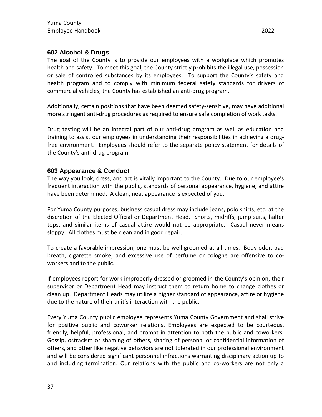# <span id="page-36-0"></span>**602 Alcohol & Drugs**

The goal of the County is to provide our employees with a workplace which promotes health and safety. To meet this goal, the County strictly prohibits the illegal use, possession or sale of controlled substances by its employees. To support the County's safety and health program and to comply with minimum federal safety standards for drivers of commercial vehicles, the County has established an anti-drug program.

Additionally, certain positions that have been deemed safety-sensitive, may have additional more stringent anti-drug procedures as required to ensure safe completion of work tasks.

Drug testing will be an integral part of our anti-drug program as well as education and training to assist our employees in understanding their responsibilities in achieving a drugfree environment. Employees should refer to the separate policy statement for details of the County's anti-drug program.

#### <span id="page-36-1"></span>**603 Appearance & Conduct**

The way you look, dress, and act is vitally important to the County. Due to our employee's frequent interaction with the public, standards of personal appearance, hygiene, and attire have been determined. A clean, neat appearance is expected of you.

For Yuma County purposes, business casual dress may include jeans, polo shirts, etc. at the discretion of the Elected Official or Department Head. Shorts, midriffs, jump suits, halter tops, and similar items of casual attire would not be appropriate. Casual never means sloppy. All clothes must be clean and in good repair.

To create a favorable impression, one must be well groomed at all times. Body odor, bad breath, cigarette smoke, and excessive use of perfume or cologne are offensive to coworkers and to the public.

If employees report for work improperly dressed or groomed in the County's opinion, their supervisor or Department Head may instruct them to return home to change clothes or clean up. Department Heads may utilize a higher standard of appearance, attire or hygiene due to the nature of their unit's interaction with the public.

Every Yuma County public employee represents Yuma County Government and shall strive for positive public and coworker relations. Employees are expected to be courteous, friendly, helpful, professional, and prompt in attention to both the public and coworkers. Gossip, ostracism or shaming of others, sharing of personal or confidential information of others, and other like negative behaviors are not tolerated in our professional environment and will be considered significant personnel infractions warranting disciplinary action up to and including termination. Our relations with the public and co-workers are not only a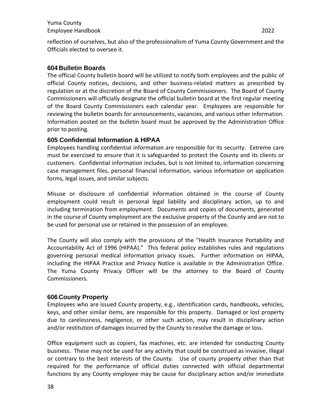reflection of ourselves, but also of the professionalism of Yuma County Government and the Officials elected to oversee it.

#### <span id="page-37-0"></span>**604 Bulletin Boards**

The official County bulletin board will be utilized to notify both employees and the public of official County notices, decisions, and other business-related matters as prescribed by regulation or at the discretion of the Board of County Commissioners. The Board of County Commissioners will officially designate the official bulletin board at the first regular meeting of the Board County Commissioners each calendar year. Employees are responsible for reviewing the bulletin boards for announcements, vacancies, and various other information. Information posted on the bulletin board must be approved by the Administration Office prior to posting.

#### <span id="page-37-1"></span>**605 Confidential Information & HIPAA**

Employees handling confidential information are responsible for its security. Extreme care must be exercised to ensure that it is safeguarded to protect the County and its clients or customers. Confidential information includes, but is not limited to, information concerning case management files, personal financial information, various information on application forms, legal issues, and similar subjects.

Misuse or disclosure of confidential information obtained in the course of County employment could result in personal legal liability and disciplinary action, up to and including termination from employment. Documents and copies of documents, generated in the course of County employment are the exclusive property of the County and are not to be used for personal use or retained in the possession of an employee.

The County will also comply with the provisions of the "Health Insurance Portability and Accountability Act of 1996 (HIPAA)." This federal policy establishes rules and regulations governing personal medical information privacy issues. Further information on HIPAA, including the HIPAA Practice and Privacy Notice is available in the Administration Office. The Yuma County Privacy Officer will be the attorney to the Board of County Commissioners.

#### <span id="page-37-2"></span>**606 County Property**

Employees who are issued County property, e.g., identification cards, handbooks, vehicles, keys, and other similar items, are responsible for this property. Damaged or lost property due to carelessness, negligence, or other such action, may result in disciplinary action and/or restitution of damages incurred by the County to resolve the damage or loss.

Office equipment such as copiers, fax machines, etc. are intended for conducting County business. These may not be used for any activity that could be construed as invasive, illegal or contrary to the best interests of the County. Use of county property other than that required for the performance of official duties connected with official departmental functions by any County employee may be cause for disciplinary action and/or immediate

38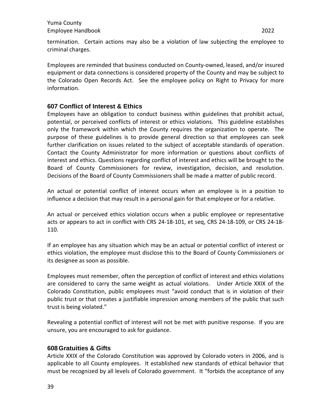termination. Certain actions may also be a violation of law subjecting the employee to criminal charges.

Employees are reminded that business conducted on County-owned, leased, and/or insured equipment or data connections is considered property of the County and may be subject to the Colorado Open Records Act. See the employee policy on Right to Privacy for more information.

#### <span id="page-38-0"></span>**607 Conflict of Interest & Ethics**

Employees have an obligation to conduct business within guidelines that prohibit actual, potential, or perceived conflicts of interest or ethics violations. This guideline establishes only the framework within which the County requires the organization to operate. The purpose of these guidelines is to provide general direction so that employees can seek further clarification on issues related to the subject of acceptable standards of operation. Contact the County Administrator for more information or questions about conflicts of interest and ethics. Questions regarding conflict of interest and ethics will be brought to the Board of County Commissioners for review, investigation, decision, and resolution. Decisions of the Board of County Commissioners shall be made a matter of public record.

An actual or potential conflict of interest occurs when an employee is in a position to influence a decision that may result in a personal gain for that employee or for a relative.

An actual or perceived ethics violation occurs when a public employee or representative acts or appears to act in conflict with CRS 24-18-101, et seq, CRS 24-18-109, or CRS 24-18- 110.

If an employee has any situation which may be an actual or potential conflict of interest or ethics violation, the employee must disclose this to the Board of County Commissioners or its designee as soon as possible.

Employees must remember, often the perception of conflict of interest and ethics violations are considered to carry the same weight as actual violations. Under Article XXIX of the Colorado Constitution, public employees must "avoid conduct that is in violation of their public trust or that creates a justifiable impression among members of the public that such trust is being violated."

Revealing a potential conflict of interest will not be met with punitive response. If you are unsure, you are encouraged to ask for guidance.

#### <span id="page-38-1"></span>**608 Gratuities & Gifts**

Article XXIX of the Colorado Constitution was approved by Colorado voters in 2006, and is applicable to all County employees. It established new standards of ethical behavior that must be recognized by all levels of Colorado government. It "forbids the acceptance of any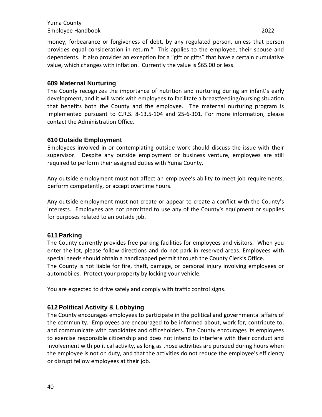money, forbearance or forgiveness of debt, by any regulated person, unless that person provides equal consideration in return." This applies to the employee, their spouse and dependents. It also provides an exception for a "gift or gifts" that have a certain cumulative value, which changes with inflation. Currently the value is \$65.00 or less.

#### <span id="page-39-0"></span>**609 Maternal Nurturing**

The County recognizes the importance of nutrition and nurturing during an infant's early development, and it will work with employees to facilitate a breastfeeding/nursing situation that benefits both the County and the employee. The maternal nurturing program is implemented pursuant to C.R.S. 8-13.5-104 and 25-6-301. For more information, please contact the Administration Office.

#### <span id="page-39-1"></span>**610 Outside Employment**

Employees involved in or contemplating outside work should discuss the issue with their supervisor. Despite any outside employment or business venture, employees are still required to perform their assigned duties with Yuma County.

Any outside employment must not affect an employee's ability to meet job requirements, perform competently, or accept overtime hours.

Any outside employment must not create or appear to create a conflict with the County's interests. Employees are not permitted to use any of the County's equipment or supplies for purposes related to an outside job.

# <span id="page-39-2"></span>**611Parking**

The County currently provides free parking facilities for employees and visitors. When you enter the lot, please follow directions and do not park in reserved areas. Employees with special needs should obtain a handicapped permit through the County Clerk's Office.

The County is not liable for fire, theft, damage, or personal injury involving employees or automobiles. Protect your property by locking your vehicle.

You are expected to drive safely and comply with traffic control signs.

# <span id="page-39-3"></span>**612Political Activity & Lobbying**

The County encourages employees to participate in the political and governmental affairs of the community. Employees are encouraged to be informed about, work for, contribute to, and communicate with candidates and officeholders. The County encourages its employees to exercise responsible citizenship and does not intend to interfere with their conduct and involvement with political activity, as long as those activities are pursued during hours when the employee is not on duty, and that the activities do not reduce the employee's efficiency or disrupt fellow employees at their job.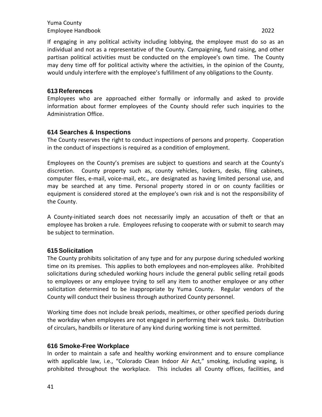If engaging in any political activity including lobbying, the employee must do so as an individual and not as a representative of the County. Campaigning, fund raising, and other partisan political activities must be conducted on the employee's own time. The County may deny time off for political activity where the activities, in the opinion of the County, would unduly interfere with the employee's fulfillment of any obligations to the County.

# <span id="page-40-0"></span>**613 References**

Employees who are approached either formally or informally and asked to provide information about former employees of the County should refer such inquiries to the Administration Office.

# <span id="page-40-1"></span>**614 Searches & Inspections**

The County reserves the right to conduct inspections of persons and property. Cooperation in the conduct of inspections is required as a condition of employment.

Employees on the County's premises are subject to questions and search at the County's discretion. County property such as, county vehicles, lockers, desks, filing cabinets, computer files, e-mail, voice-mail, etc., are designated as having limited personal use, and may be searched at any time. Personal property stored in or on county facilities or equipment is considered stored at the employee's own risk and is not the responsibility of the County.

A County-initiated search does not necessarily imply an accusation of theft or that an employee has broken a rule. Employees refusing to cooperate with or submit to search may be subject to termination.

# <span id="page-40-2"></span>**615Solicitation**

The County prohibits solicitation of any type and for any purpose during scheduled working time on its premises. This applies to both employees and non-employees alike. Prohibited solicitations during scheduled working hours include the general public selling retail goods to employees or any employee trying to sell any item to another employee or any other solicitation determined to be inappropriate by Yuma County. Regular vendors of the County will conduct their business through authorized County personnel.

Working time does not include break periods, mealtimes, or other specified periods during the workday when employees are not engaged in performing their work tasks. Distribution of circulars, handbills or literature of any kind during working time is not permitted.

#### <span id="page-40-3"></span>**616 Smoke-Free Workplace**

In order to maintain a safe and healthy working environment and to ensure compliance with applicable law, i.e., "Colorado Clean Indoor Air Act," smoking, including vaping, is prohibited throughout the workplace. This includes all County offices, facilities, and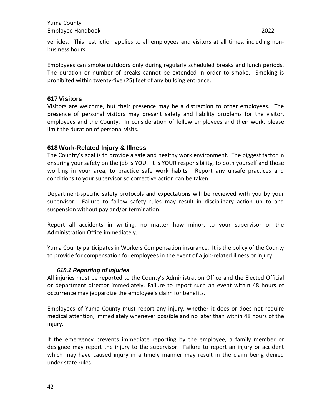vehicles. This restriction applies to all employees and visitors at all times, including nonbusiness hours.

Employees can smoke outdoors only during regularly scheduled breaks and lunch periods. The duration or number of breaks cannot be extended in order to smoke. Smoking is prohibited within twenty-five (25) feet of any building entrance.

#### <span id="page-41-0"></span>**617Visitors**

Visitors are welcome, but their presence may be a distraction to other employees. The presence of personal visitors may present safety and liability problems for the visitor, employees and the County. In consideration of fellow employees and their work, please limit the duration of personal visits.

#### <span id="page-41-1"></span>**618 Work-Related Injury & Illness**

The Country's goal is to provide a safe and healthy work environment. The biggest factor in ensuring your safety on the job is YOU. It is YOUR responsibility, to both yourself and those working in your area, to practice safe work habits. Report any unsafe practices and conditions to your supervisor so corrective action can be taken.

Department-specific safety protocols and expectations will be reviewed with you by your supervisor. Failure to follow safety rules may result in disciplinary action up to and suspension without pay and/or termination.

Report all accidents in writing, no matter how minor, to your supervisor or the Administration Office immediately.

Yuma County participates in Workers Compensation insurance. It is the policy of the County to provide for compensation for employees in the event of a job-related illness or injury.

#### *618.1 Reporting of Injuries*

<span id="page-41-2"></span>All injuries must be reported to the County's Administration Office and the Elected Official or department director immediately. Failure to report such an event within 48 hours of occurrence may jeopardize the employee's claim for benefits.

Employees of Yuma County must report any injury, whether it does or does not require medical attention, immediately whenever possible and no later than within 48 hours of the injury.

If the emergency prevents immediate reporting by the employee, a family member or designee may report the injury to the supervisor. Failure to report an injury or accident which may have caused injury in a timely manner may result in the claim being denied under state rules.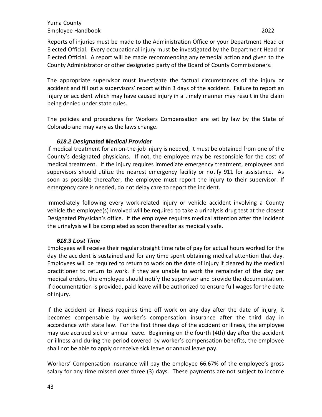Reports of injuries must be made to the Administration Office or your Department Head or Elected Official. Every occupational injury must be investigated by the Department Head or Elected Official. A report will be made recommending any remedial action and given to the County Administrator or other designated party of the Board of County Commissioners.

The appropriate supervisor must investigate the factual circumstances of the injury or accident and fill out a supervisors' report within 3 days of the accident. Failure to report an injury or accident which may have caused injury in a timely manner may result in the claim being denied under state rules.

The policies and procedures for Workers Compensation are set by law by the State of Colorado and may vary as the laws change.

#### *618.2 Designated Medical Provider*

<span id="page-42-0"></span>If medical treatment for an on-the-job injury is needed, it must be obtained from one of the County's designated physicians. If not, the employee may be responsible for the cost of medical treatment. If the injury requires immediate emergency treatment, employees and supervisors should utilize the nearest emergency facility or notify 911 for assistance. As soon as possible thereafter, the employee must report the injury to their supervisor. If emergency care is needed, do not delay care to report the incident.

Immediately following every work-related injury or vehicle accident involving a County vehicle the employee(s) involved will be required to take a urinalysis drug test at the closest Designated Physician's office. If the employee requires medical attention after the incident the urinalysis will be completed as soon thereafter as medically safe.

#### *618.3 Lost Time*

<span id="page-42-1"></span>Employees will receive their regular straight time rate of pay for actual hours worked for the day the accident is sustained and for any time spent obtaining medical attention that day. Employees will be required to return to work on the date of injury if cleared by the medical practitioner to return to work. If they are unable to work the remainder of the day per medical orders, the employee should notify the supervisor and provide the documentation. If documentation is provided, paid leave will be authorized to ensure full wages for the date of injury.

If the accident or illness requires time off work on any day after the date of injury, it becomes compensable by worker's compensation insurance after the third day in accordance with state law. For the first three days of the accident or illness, the employee may use accrued sick or annual leave. Beginning on the fourth (4th) day after the accident or illness and during the period covered by worker's compensation benefits, the employee shall not be able to apply or receive sick leave or annual leave pay.

Workers' Compensation insurance will pay the employee 66.67% of the employee's gross salary for any time missed over three (3) days. These payments are not subject to income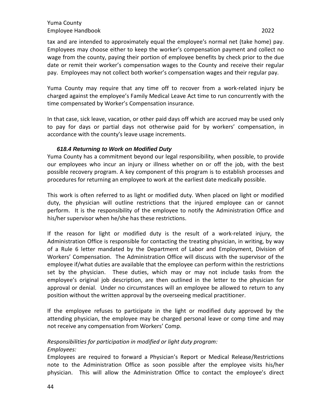tax and are intended to approximately equal the employee's normal net (take home) pay. Employees may choose either to keep the worker's compensation payment and collect no wage from the county, paying their portion of employee benefits by check prior to the due date or remit their worker's compensation wages to the County and receive their regular pay. Employees may not collect both worker's compensation wages and their regular pay.

Yuma County may require that any time off to recover from a work-related injury be charged against the employee's Family Medical Leave Act time to run concurrently with the time compensated by Worker's Compensation insurance.

In that case, sick leave, vacation, or other paid days off which are accrued may be used only to pay for days or partial days not otherwise paid for by workers' compensation, in accordance with the county's leave usage increments.

#### *618.4 Returning to Work on Modified Duty*

<span id="page-43-0"></span>Yuma County has a commitment beyond our legal responsibility, when possible, to provide our employees who incur an injury or illness whether on or off the job, with the best possible recovery program. A key component of this program is to establish processes and procedures for returning an employee to work at the earliest date medically possible.

This work is often referred to as light or modified duty. When placed on light or modified duty, the physician will outline restrictions that the injured employee can or cannot perform. It is the responsibility of the employee to notify the Administration Office and his/her supervisor when he/she has these restrictions.

If the reason for light or modified duty is the result of a work-related injury, the Administration Office is responsible for contacting the treating physician, in writing, by way of a Rule 6 letter mandated by the Department of Labor and Employment, Division of Workers' Compensation. The Administration Office will discuss with the supervisor of the employee if/what duties are available that the employee can perform within the restrictions set by the physician. These duties, which may or may not include tasks from the employee's original job description, are then outlined in the letter to the physician for approval or denial. Under no circumstances will an employee be allowed to return to any position without the written approval by the overseeing medical practitioner.

If the employee refuses to participate in the light or modified duty approved by the attending physician, the employee may be charged personal leave or comp time and may not receive any compensation from Workers' Comp.

*Responsibilities for participation in modified or light duty program:*

#### *Employees:*

Employees are required to forward a Physician's Report or Medical Release/Restrictions note to the Administration Office as soon possible after the employee visits his/her physician. This will allow the Administration Office to contact the employee's direct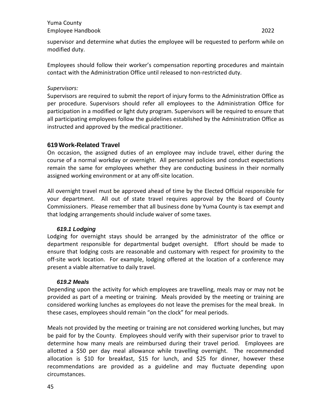Employees should follow their worker's compensation reporting procedures and maintain contact with the Administration Office until released to non-restricted duty.

#### *Supervisors:*

Supervisors are required to submit the report of injury forms to the Administration Office as per procedure. Supervisors should refer all employees to the Administration Office for participation in a modified or light duty program. Supervisors will be required to ensure that all participating employees follow the guidelines established by the Administration Office as instructed and approved by the medical practitioner.

# <span id="page-44-0"></span>**619 Work-Related Travel**

On occasion, the assigned duties of an employee may include travel, either during the course of a normal workday or overnight. All personnel policies and conduct expectations remain the same for employees whether they are conducting business in their normally assigned working environment or at any off-site location.

All overnight travel must be approved ahead of time by the Elected Official responsible for your department. All out of state travel requires approval by the Board of County Commissioners. Please remember that all business done by Yuma County is tax exempt and that lodging arrangements should include waiver of some taxes.

#### *619.1 Lodging*

<span id="page-44-1"></span>Lodging for overnight stays should be arranged by the administrator of the office or department responsible for departmental budget oversight. Effort should be made to ensure that lodging costs are reasonable and customary with respect for proximity to the off-site work location. For example, lodging offered at the location of a conference may present a viable alternative to daily travel.

#### *619.2 Meals*

<span id="page-44-2"></span>Depending upon the activity for which employees are travelling, meals may or may not be provided as part of a meeting or training. Meals provided by the meeting or training are considered working lunches as employees do not leave the premises for the meal break. In these cases, employees should remain "on the clock" for meal periods.

Meals not provided by the meeting or training are not considered working lunches, but may be paid for by the County. Employees should verify with their supervisor prior to travel to determine how many meals are reimbursed during their travel period. Employees are allotted a \$50 per day meal allowance while travelling overnight. The recommended allocation is \$10 for breakfast, \$15 for lunch, and \$25 for dinner, however these recommendations are provided as a guideline and may fluctuate depending upon circumstances.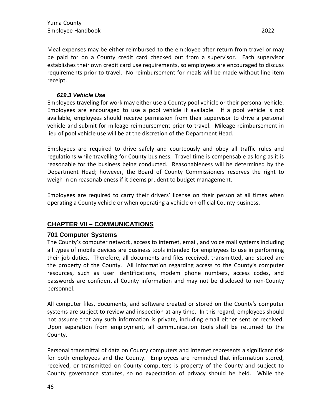#### *619.3 Vehicle Use*

<span id="page-45-0"></span>Employees traveling for work may either use a County pool vehicle or their personal vehicle. Employees are encouraged to use a pool vehicle if available. If a pool vehicle is not available, employees should receive permission from their supervisor to drive a personal vehicle and submit for mileage reimbursement prior to travel. Mileage reimbursement in lieu of pool vehicle use will be at the discretion of the Department Head.

Employees are required to drive safely and courteously and obey all traffic rules and regulations while travelling for County business. Travel time is compensable as long as it is reasonable for the business being conducted. Reasonableness will be determined by the Department Head; however, the Board of County Commissioners reserves the right to weigh in on reasonableness if it deems prudent to budget management.

Employees are required to carry their drivers' license on their person at all times when operating a County vehicle or when operating a vehicle on official County business.

# <span id="page-45-1"></span>**CHAPTER VII – COMMUNICATIONS**

#### <span id="page-45-2"></span>**701 Computer Systems**

The County's computer network, access to internet, email, and voice mail systems including all types of mobile devices are business tools intended for employees to use in performing their job duties. Therefore, all documents and files received, transmitted, and stored are the property of the County. All information regarding access to the County's computer resources, such as user identifications, modem phone numbers, access codes, and passwords are confidential County information and may not be disclosed to non-County personnel.

All computer files, documents, and software created or stored on the County's computer systems are subject to review and inspection at any time. In this regard, employees should not assume that any such information is private, including email either sent or received. Upon separation from employment, all communication tools shall be returned to the County.

Personal transmittal of data on County computers and internet represents a significant risk for both employees and the County. Employees are reminded that information stored, received, or transmitted on County computers is property of the County and subject to County governance statutes, so no expectation of privacy should be held. While the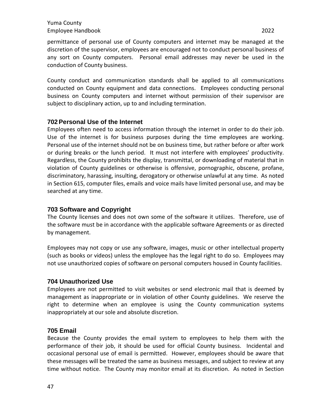permittance of personal use of County computers and internet may be managed at the discretion of the supervisor, employees are encouraged not to conduct personal business of any sort on County computers. Personal email addresses may never be used in the conduction of County business.

County conduct and communication standards shall be applied to all communications conducted on County equipment and data connections. Employees conducting personal business on County computers and internet without permission of their supervisor are subject to disciplinary action, up to and including termination.

#### <span id="page-46-0"></span>**702Personal Use of the Internet**

Employees often need to access information through the internet in order to do their job. Use of the internet is for business purposes during the time employees are working. Personal use of the internet should not be on business time, but rather before or after work or during breaks or the lunch period. It must not interfere with employees' productivity. Regardless, the County prohibits the display, transmittal, or downloading of material that in violation of County guidelines or otherwise is offensive, pornographic, obscene, profane, discriminatory, harassing, insulting, derogatory or otherwise unlawful at any time. As noted in Section 615, computer files, emails and voice mails have limited personal use, and may be searched at any time.

#### <span id="page-46-1"></span>**703 Software and Copyright**

The County licenses and does not own some of the software it utilizes. Therefore, use of the software must be in accordance with the applicable software Agreements or as directed by management.

Employees may not copy or use any software, images, music or other intellectual property (such as books or videos) unless the employee has the legal right to do so. Employees may not use unauthorized copies of software on personal computers housed in County facilities.

#### <span id="page-46-2"></span>**704 Unauthorized Use**

Employees are not permitted to visit websites or send electronic mail that is deemed by management as inappropriate or in violation of other County guidelines. We reserve the right to determine when an employee is using the County communication systems inappropriately at our sole and absolute discretion.

#### <span id="page-46-3"></span>**705 Email**

Because the County provides the email system to employees to help them with the performance of their job, it should be used for official County business. Incidental and occasional personal use of email is permitted. However, employees should be aware that these messages will be treated the same as business messages, and subject to review at any time without notice. The County may monitor email at its discretion. As noted in Section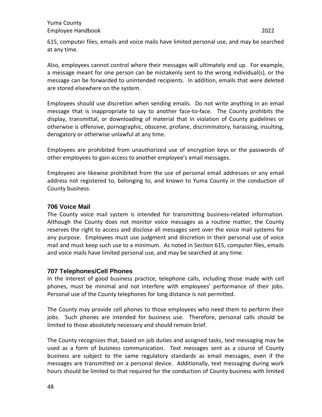Also, employees cannot control where their messages will ultimately end up. For example, a message meant for one person can be mistakenly sent to the wrong individual(s), or the message can be forwarded to unintended recipients. In addition, emails that were deleted are stored elsewhere on the system.

Employees should use discretion when sending emails. Do not write anything in an email message that is inappropriate to say to another face-to-face. The County prohibits the display, transmittal, or downloading of material that in violation of County guidelines or otherwise is offensive, pornographic, obscene, profane, discriminatory, harassing, insulting, derogatory or otherwise unlawful at any time.

Employees are prohibited from unauthorized use of encryption keys or the passwords of other employees to gain access to another employee's email messages.

Employees are likewise prohibited from the use of personal email addresses or any email address not registered to, belonging to, and known to Yuma County in the conduction of County business.

# <span id="page-47-0"></span>**706 Voice Mail**

The County voice mail system is intended for transmitting business-related information. Although the County does not monitor voice messages as a routine matter, the County reserves the right to access and disclose all messages sent over the voice mail systems for any purpose. Employees must use judgment and discretion in their personal use of voice mail and must keep such use to a minimum. As noted in Section 615, computer files, emails and voice mails have limited personal use, and may be searched at any time.

# <span id="page-47-1"></span>**707 Telephones/Cell Phones**

In the interest of good business practice, telephone calls, including those made with cell phones, must be minimal and not interfere with employees' performance of their jobs. Personal use of the County telephones for long distance is not permitted.

The County may provide cell phones to those employees who need them to perform their jobs. Such phones are intended for business use. Therefore, personal calls should be limited to those absolutely necessary and should remain brief.

The County recognizes that, based on job duties and assigned tasks, text messaging may be used as a form of business communication. Text messages sent as a course of County business are subject to the same regulatory standards as email messages, even if the messages are transmitted on a personal device. Additionally, text messaging during work hours should be limited to that required for the conduction of County business with limited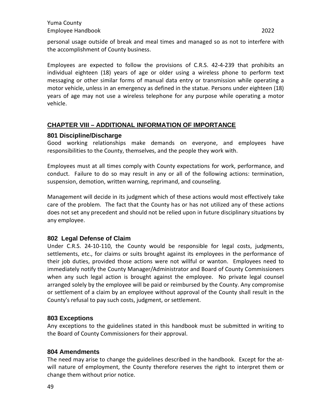Employees are expected to follow the provisions of C.R.S. 42-4-239 that prohibits an individual eighteen (18) years of age or older using a wireless phone to perform text messaging or other similar forms of manual data entry or transmission while operating a motor vehicle, unless in an emergency as defined in the statue. Persons under eighteen (18) years of age may not use a wireless telephone for any purpose while operating a motor vehicle.

# <span id="page-48-0"></span>**CHAPTER VIII – ADDITIONAL INFORMATION OF IMPORTANCE**

#### <span id="page-48-1"></span>**801 Discipline/Discharge**

Good working relationships make demands on everyone, and employees have responsibilities to the County, themselves, and the people they work with.

Employees must at all times comply with County expectations for work, performance, and conduct. Failure to do so may result in any or all of the following actions: termination, suspension, demotion, written warning, reprimand, and counseling.

Management will decide in its judgment which of these actions would most effectively take care of the problem. The fact that the County has or has not utilized any of these actions does not set any precedent and should not be relied upon in future disciplinary situations by any employee.

#### <span id="page-48-2"></span>**802 Legal Defense of Claim**

Under C.R.S. 24-10-110, the County would be responsible for legal costs, judgments, settlements, etc., for claims or suits brought against its employees in the performance of their job duties, provided those actions were not willful or wanton. Employees need to immediately notify the County Manager/Administrator and Board of County Commissioners when any such legal action is brought against the employee. No private legal counsel arranged solely by the employee will be paid or reimbursed by the County. Any compromise or settlement of a claim by an employee without approval of the County shall result in the County's refusal to pay such costs, judgment, or settlement.

#### <span id="page-48-3"></span>**803 Exceptions**

Any exceptions to the guidelines stated in this handbook must be submitted in writing to the Board of County Commissioners for their approval.

#### <span id="page-48-4"></span>**804 Amendments**

The need may arise to change the guidelines described in the handbook. Except for the atwill nature of employment, the County therefore reserves the right to interpret them or change them without prior notice.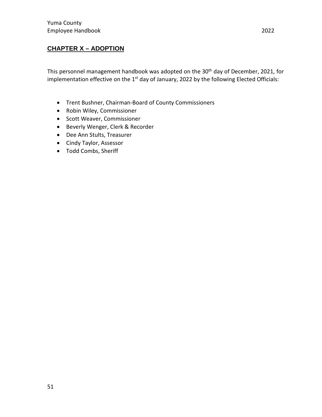# <span id="page-50-0"></span>**CHAPTER X – ADOPTION**

This personnel management handbook was adopted on the 30<sup>th</sup> day of December, 2021, for implementation effective on the 1<sup>st</sup> day of January, 2022 by the following Elected Officials:

- Trent Bushner, Chairman-Board of County Commissioners
- Robin Wiley, Commissioner
- Scott Weaver, Commissioner
- Beverly Wenger, Clerk & Recorder
- Dee Ann Stults, Treasurer
- Cindy Taylor, Assessor
- Todd Combs, Sheriff